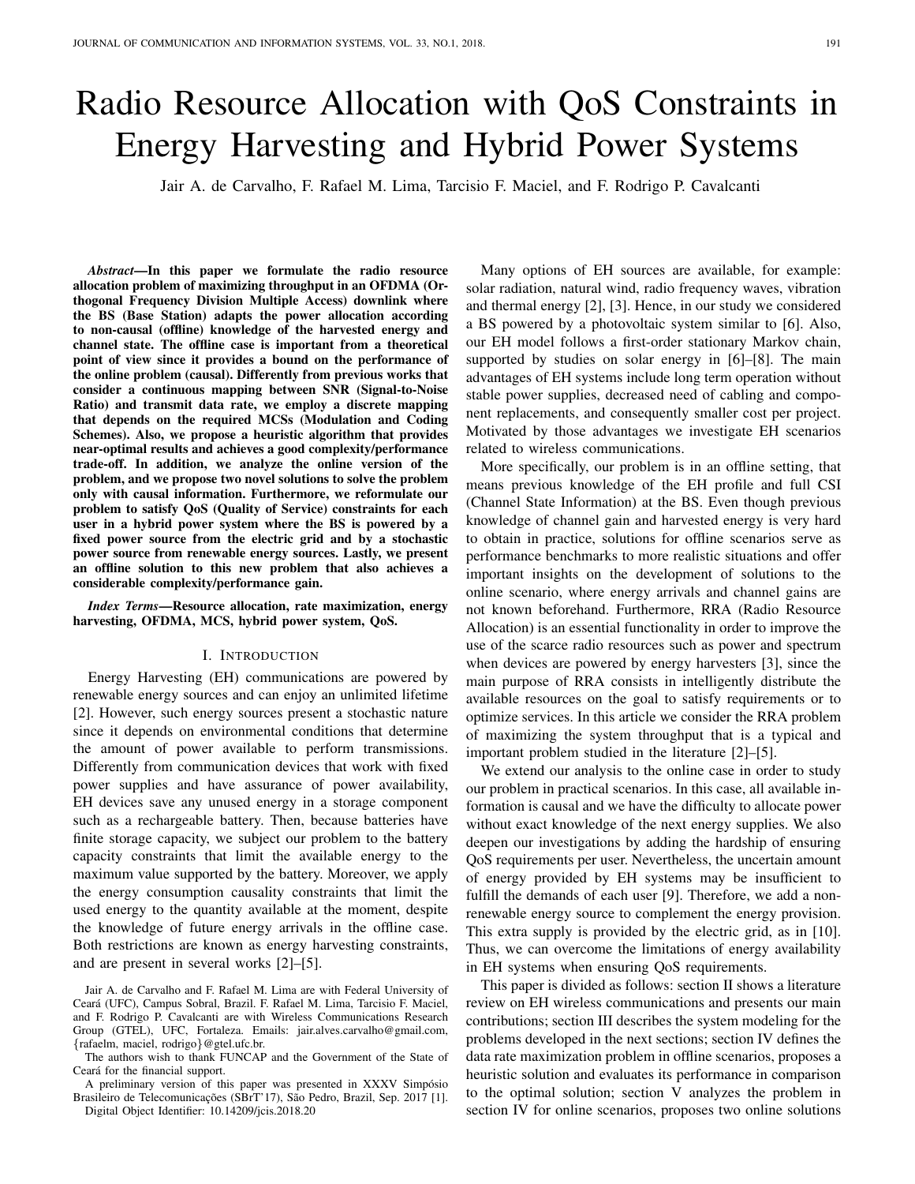# Radio Resource Allocation with QoS Constraints in Energy Harvesting and Hybrid Power Systems

Jair A. de Carvalho, F. Rafael M. Lima, Tarcisio F. Maciel, and F. Rodrigo P. Cavalcanti

*Abstract*—In this paper we formulate the radio resource allocation problem of maximizing throughput in an OFDMA (Orthogonal Frequency Division Multiple Access) downlink where the BS (Base Station) adapts the power allocation according to non-causal (offline) knowledge of the harvested energy and channel state. The offline case is important from a theoretical point of view since it provides a bound on the performance of the online problem (causal). Differently from previous works that consider a continuous mapping between SNR (Signal-to-Noise Ratio) and transmit data rate, we employ a discrete mapping that depends on the required MCSs (Modulation and Coding Schemes). Also, we propose a heuristic algorithm that provides near-optimal results and achieves a good complexity/performance trade-off. In addition, we analyze the online version of the problem, and we propose two novel solutions to solve the problem only with causal information. Furthermore, we reformulate our problem to satisfy QoS (Quality of Service) constraints for each user in a hybrid power system where the BS is powered by a fixed power source from the electric grid and by a stochastic power source from renewable energy sources. Lastly, we present an offline solution to this new problem that also achieves a considerable complexity/performance gain.

*Index Terms*—Resource allocation, rate maximization, energy harvesting, OFDMA, MCS, hybrid power system, QoS.

## I. INTRODUCTION

Energy Harvesting (EH) communications are powered by renewable energy sources and can enjoy an unlimited lifetime [2]. However, such energy sources present a stochastic nature since it depends on environmental conditions that determine the amount of power available to perform transmissions. Differently from communication devices that work with fixed power supplies and have assurance of power availability, EH devices save any unused energy in a storage component such as a rechargeable battery. Then, because batteries have finite storage capacity, we subject our problem to the battery capacity constraints that limit the available energy to the maximum value supported by the battery. Moreover, we apply the energy consumption causality constraints that limit the used energy to the quantity available at the moment, despite the knowledge of future energy arrivals in the offline case. Both restrictions are known as energy harvesting constraints, and are present in several works [2]–[5].

Jair A. de Carvalho and F. Rafael M. Lima are with Federal University of Ceara (UFC), Campus Sobral, Brazil. F. Rafael M. Lima, Tarcisio F. Maciel, ´ and F. Rodrigo P. Cavalcanti are with Wireless Communications Research Group (GTEL), UFC, Fortaleza. Emails: jair.alves.carvalho@gmail.com, {rafaelm, maciel, rodrigo}@gtel.ufc.br.

The authors wish to thank FUNCAP and the Government of the State of Ceará for the financial support.

A preliminary version of this paper was presented in XXXV Simpósio Brasileiro de Telecomunicações (SBrT'17), São Pedro, Brazil, Sep. 2017 [1]. Digital Object Identifier: 10.14209/jcis.2018.20

Many options of EH sources are available, for example: solar radiation, natural wind, radio frequency waves, vibration and thermal energy [2], [3]. Hence, in our study we considered a BS powered by a photovoltaic system similar to [6]. Also, our EH model follows a first-order stationary Markov chain, supported by studies on solar energy in [6]–[8]. The main advantages of EH systems include long term operation without stable power supplies, decreased need of cabling and component replacements, and consequently smaller cost per project. Motivated by those advantages we investigate EH scenarios related to wireless communications.

More specifically, our problem is in an offline setting, that means previous knowledge of the EH profile and full CSI (Channel State Information) at the BS. Even though previous knowledge of channel gain and harvested energy is very hard to obtain in practice, solutions for offline scenarios serve as performance benchmarks to more realistic situations and offer important insights on the development of solutions to the online scenario, where energy arrivals and channel gains are not known beforehand. Furthermore, RRA (Radio Resource Allocation) is an essential functionality in order to improve the use of the scarce radio resources such as power and spectrum when devices are powered by energy harvesters [3], since the main purpose of RRA consists in intelligently distribute the available resources on the goal to satisfy requirements or to optimize services. In this article we consider the RRA problem of maximizing the system throughput that is a typical and important problem studied in the literature [2]–[5].

We extend our analysis to the online case in order to study our problem in practical scenarios. In this case, all available information is causal and we have the difficulty to allocate power without exact knowledge of the next energy supplies. We also deepen our investigations by adding the hardship of ensuring QoS requirements per user. Nevertheless, the uncertain amount of energy provided by EH systems may be insufficient to fulfill the demands of each user [9]. Therefore, we add a nonrenewable energy source to complement the energy provision. This extra supply is provided by the electric grid, as in [10]. Thus, we can overcome the limitations of energy availability in EH systems when ensuring QoS requirements.

This paper is divided as follows: section II shows a literature review on EH wireless communications and presents our main contributions; section III describes the system modeling for the problems developed in the next sections; section IV defines the data rate maximization problem in offline scenarios, proposes a heuristic solution and evaluates its performance in comparison to the optimal solution; section V analyzes the problem in section IV for online scenarios, proposes two online solutions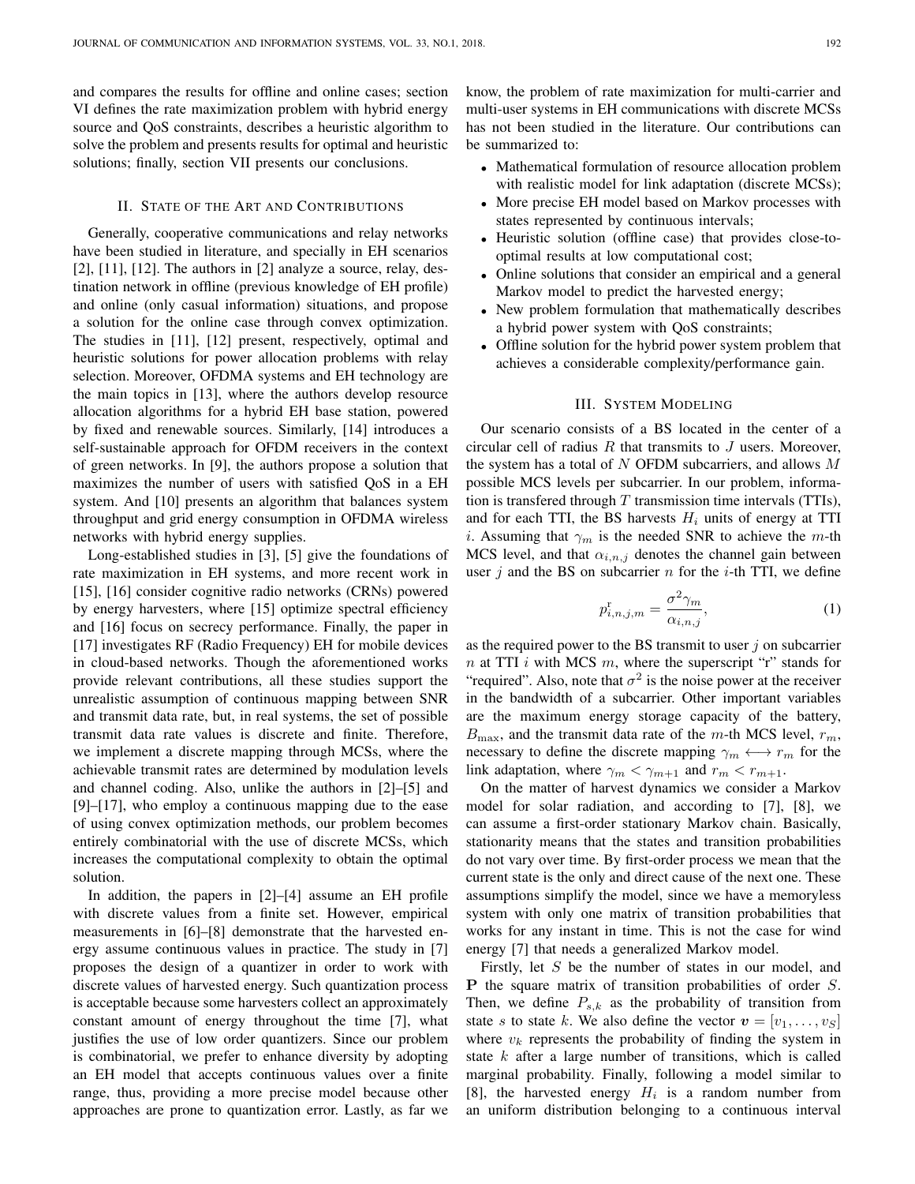and compares the results for offline and online cases; section VI defines the rate maximization problem with hybrid energy source and QoS constraints, describes a heuristic algorithm to solve the problem and presents results for optimal and heuristic solutions; finally, section VII presents our conclusions.

#### II. STATE OF THE ART AND CONTRIBUTIONS

Generally, cooperative communications and relay networks have been studied in literature, and specially in EH scenarios [2], [11], [12]. The authors in [2] analyze a source, relay, destination network in offline (previous knowledge of EH profile) and online (only casual information) situations, and propose a solution for the online case through convex optimization. The studies in [11], [12] present, respectively, optimal and heuristic solutions for power allocation problems with relay selection. Moreover, OFDMA systems and EH technology are the main topics in [13], where the authors develop resource allocation algorithms for a hybrid EH base station, powered by fixed and renewable sources. Similarly, [14] introduces a self-sustainable approach for OFDM receivers in the context of green networks. In [9], the authors propose a solution that maximizes the number of users with satisfied QoS in a EH system. And [10] presents an algorithm that balances system throughput and grid energy consumption in OFDMA wireless networks with hybrid energy supplies.

Long-established studies in [3], [5] give the foundations of rate maximization in EH systems, and more recent work in [15], [16] consider cognitive radio networks (CRNs) powered by energy harvesters, where [15] optimize spectral efficiency and [16] focus on secrecy performance. Finally, the paper in [17] investigates RF (Radio Frequency) EH for mobile devices in cloud-based networks. Though the aforementioned works provide relevant contributions, all these studies support the unrealistic assumption of continuous mapping between SNR and transmit data rate, but, in real systems, the set of possible transmit data rate values is discrete and finite. Therefore, we implement a discrete mapping through MCSs, where the achievable transmit rates are determined by modulation levels and channel coding. Also, unlike the authors in [2]–[5] and [9]–[17], who employ a continuous mapping due to the ease of using convex optimization methods, our problem becomes entirely combinatorial with the use of discrete MCSs, which increases the computational complexity to obtain the optimal solution.

In addition, the papers in [2]–[4] assume an EH profile with discrete values from a finite set. However, empirical measurements in [6]–[8] demonstrate that the harvested energy assume continuous values in practice. The study in [7] proposes the design of a quantizer in order to work with discrete values of harvested energy. Such quantization process is acceptable because some harvesters collect an approximately constant amount of energy throughout the time [7], what justifies the use of low order quantizers. Since our problem is combinatorial, we prefer to enhance diversity by adopting an EH model that accepts continuous values over a finite range, thus, providing a more precise model because other approaches are prone to quantization error. Lastly, as far we know, the problem of rate maximization for multi-carrier and multi-user systems in EH communications with discrete MCSs has not been studied in the literature. Our contributions can be summarized to:

- Mathematical formulation of resource allocation problem with realistic model for link adaptation (discrete MCSs);
- More precise EH model based on Markov processes with states represented by continuous intervals;
- Heuristic solution (offline case) that provides close-tooptimal results at low computational cost;
- Online solutions that consider an empirical and a general Markov model to predict the harvested energy;
- New problem formulation that mathematically describes a hybrid power system with QoS constraints;
- Offline solution for the hybrid power system problem that achieves a considerable complexity/performance gain.

# III. SYSTEM MODELING

Our scenario consists of a BS located in the center of a circular cell of radius  $R$  that transmits to  $J$  users. Moreover, the system has a total of N OFDM subcarriers, and allows  $M$ possible MCS levels per subcarrier. In our problem, information is transferred through  $T$  transmission time intervals (TTIs), and for each TTI, the BS harvests  $H_i$  units of energy at TTI i. Assuming that  $\gamma_m$  is the needed SNR to achieve the m-th MCS level, and that  $\alpha_{i,n,j}$  denotes the channel gain between user j and the BS on subcarrier  $n$  for the *i*-th TTI, we define

$$
p_{i,n,j,m}^{\mathrm{r}} = \frac{\sigma^2 \gamma_m}{\alpha_{i,n,j}},\tag{1}
$$

as the required power to the BS transmit to user  $j$  on subcarrier n at TTI i with MCS m, where the superscript "r" stands for "required". Also, note that  $\sigma^2$  is the noise power at the receiver in the bandwidth of a subcarrier. Other important variables are the maximum energy storage capacity of the battery,  $B_{\text{max}}$ , and the transmit data rate of the m-th MCS level,  $r_m$ , necessary to define the discrete mapping  $\gamma_m \leftrightarrow r_m$  for the link adaptation, where  $\gamma_m < \gamma_{m+1}$  and  $r_m < r_{m+1}$ .

On the matter of harvest dynamics we consider a Markov model for solar radiation, and according to [7], [8], we can assume a first-order stationary Markov chain. Basically, stationarity means that the states and transition probabilities do not vary over time. By first-order process we mean that the current state is the only and direct cause of the next one. These assumptions simplify the model, since we have a memoryless system with only one matrix of transition probabilities that works for any instant in time. This is not the case for wind energy [7] that needs a generalized Markov model.

Firstly, let S be the number of states in our model, and P the square matrix of transition probabilities of order S. Then, we define  $P_{s,k}$  as the probability of transition from state s to state k. We also define the vector  $v = [v_1, \ldots, v_s]$ where  $v_k$  represents the probability of finding the system in state  $k$  after a large number of transitions, which is called marginal probability. Finally, following a model similar to [8], the harvested energy  $H_i$  is a random number from an uniform distribution belonging to a continuous interval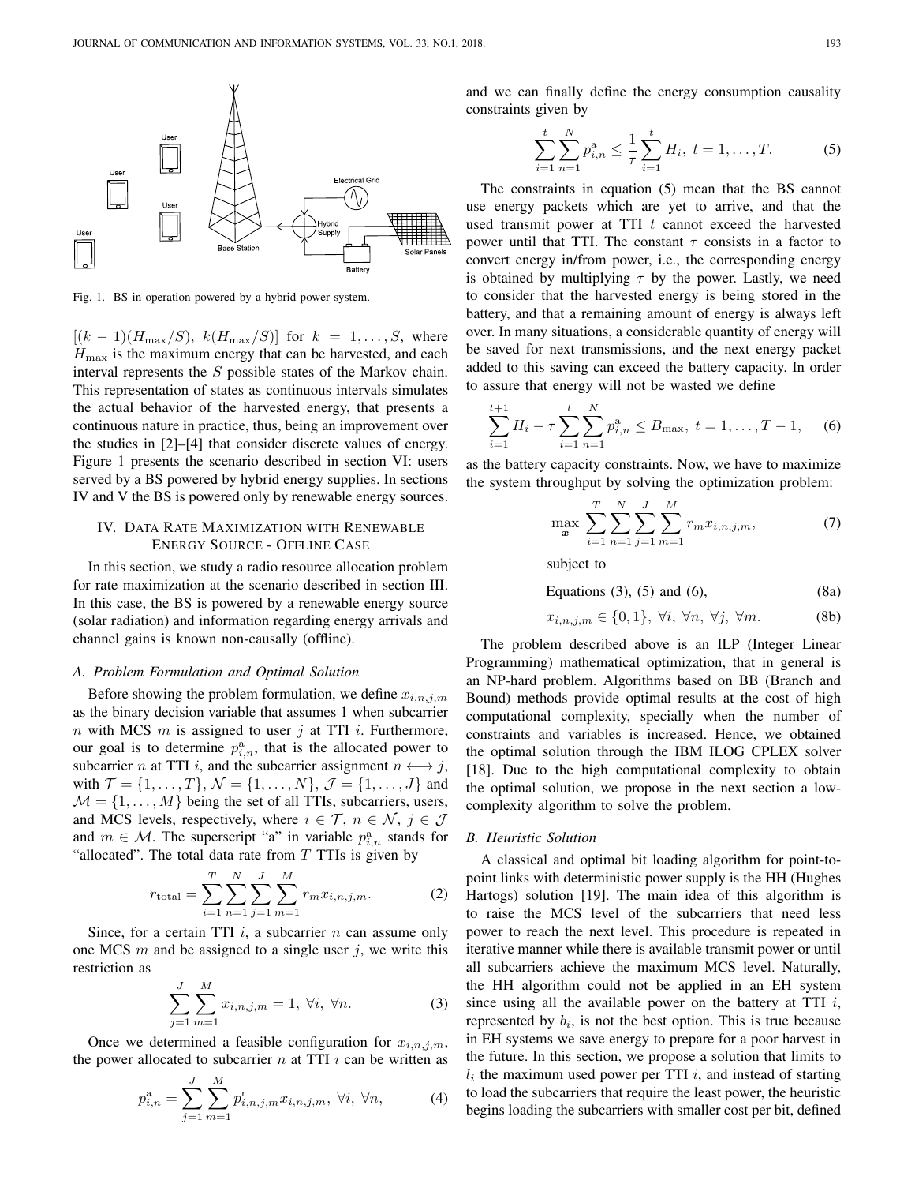

Fig. 1. BS in operation powered by a hybrid power system.

 $[(k-1)(H_{\text{max}}/S), k(H_{\text{max}}/S)]$  for  $k = 1, \ldots, S$ , where  $H_{\text{max}}$  is the maximum energy that can be harvested, and each interval represents the S possible states of the Markov chain. This representation of states as continuous intervals simulates the actual behavior of the harvested energy, that presents a continuous nature in practice, thus, being an improvement over the studies in [2]–[4] that consider discrete values of energy. Figure 1 presents the scenario described in section VI: users served by a BS powered by hybrid energy supplies. In sections IV and V the BS is powered only by renewable energy sources.

# IV. DATA RATE MAXIMIZATION WITH RENEWABLE ENERGY SOURCE - OFFLINE CASE

In this section, we study a radio resource allocation problem for rate maximization at the scenario described in section III. In this case, the BS is powered by a renewable energy source (solar radiation) and information regarding energy arrivals and channel gains is known non-causally (offline).

## *A. Problem Formulation and Optimal Solution*

Before showing the problem formulation, we define  $x_{i,n,j,m}$ as the binary decision variable that assumes 1 when subcarrier n with MCS m is assigned to user j at TTI i. Furthermore, our goal is to determine  $p_{i,n}^{\text{a}}$ , that is the allocated power to subcarrier *n* at TTI *i*, and the subcarrier assignment  $n \leftrightarrow j$ , with  $\mathcal{T} = \{1, ..., T\}, \mathcal{N} = \{1, ..., N\}, \mathcal{J} = \{1, ..., J\}$  and  $M = \{1, \ldots, M\}$  being the set of all TTIs, subcarriers, users, and MCS levels, respectively, where  $i \in \mathcal{T}$ ,  $n \in \mathcal{N}$ ,  $j \in \mathcal{J}$ and  $m \in \mathcal{M}$ . The superscript "a" in variable  $p_{i,n}^{\text{a}}$  stands for "allocated". The total data rate from  $T$  TTIs is given by

$$
r_{\text{total}} = \sum_{i=1}^{T} \sum_{n=1}^{N} \sum_{j=1}^{J} \sum_{m=1}^{M} r_m x_{i,n,j,m}.
$$
 (2)

Since, for a certain TTI  $i$ , a subcarrier  $n$  can assume only one MCS  $m$  and be assigned to a single user  $j$ , we write this restriction as

$$
\sum_{j=1}^{J} \sum_{m=1}^{M} x_{i,n,j,m} = 1, \forall i, \forall n.
$$
 (3)

Once we determined a feasible configuration for  $x_{i,n,j,m}$ , the power allocated to subcarrier  $n$  at TTI  $i$  can be written as

$$
p_{i,n}^{\mathbf{a}} = \sum_{j=1}^{J} \sum_{m=1}^{M} p_{i,n,j,m}^{r} x_{i,n,j,m}, \ \forall i, \ \forall n,
$$
 (4)

and we can finally define the energy consumption causality constraints given by

$$
\sum_{i=1}^{t} \sum_{n=1}^{N} p_{i,n}^{a} \le \frac{1}{\tau} \sum_{i=1}^{t} H_{i}, \ t = 1, \dots, T.
$$
 (5)

The constraints in equation (5) mean that the BS cannot use energy packets which are yet to arrive, and that the used transmit power at TTI  $t$  cannot exceed the harvested power until that TTI. The constant  $\tau$  consists in a factor to convert energy in/from power, i.e., the corresponding energy is obtained by multiplying  $\tau$  by the power. Lastly, we need to consider that the harvested energy is being stored in the battery, and that a remaining amount of energy is always left over. In many situations, a considerable quantity of energy will be saved for next transmissions, and the next energy packet added to this saving can exceed the battery capacity. In order to assure that energy will not be wasted we define

$$
\sum_{i=1}^{t+1} H_i - \tau \sum_{i=1}^t \sum_{n=1}^N p_{i,n}^{\mathbf{a}} \le B_{\text{max}}, \ t = 1, \dots, T-1, \quad (6)
$$

as the battery capacity constraints. Now, we have to maximize the system throughput by solving the optimization problem:

$$
\max_{\mathbf{x}} \sum_{i=1}^{T} \sum_{n=1}^{N} \sum_{j=1}^{J} \sum_{m=1}^{M} r_m x_{i,n,j,m}, \tag{7}
$$

subject to

Equations 
$$
(3)
$$
,  $(5)$  and  $(6)$ ,  $(8a)$ 

$$
x_{i,n,j,m} \in \{0,1\}, \ \forall i, \ \forall n, \ \forall j, \ \forall m. \tag{8b}
$$

The problem described above is an ILP (Integer Linear Programming) mathematical optimization, that in general is an NP-hard problem. Algorithms based on BB (Branch and Bound) methods provide optimal results at the cost of high computational complexity, specially when the number of constraints and variables is increased. Hence, we obtained the optimal solution through the IBM ILOG CPLEX solver [18]. Due to the high computational complexity to obtain the optimal solution, we propose in the next section a lowcomplexity algorithm to solve the problem.

# *B. Heuristic Solution*

A classical and optimal bit loading algorithm for point-topoint links with deterministic power supply is the HH (Hughes Hartogs) solution [19]. The main idea of this algorithm is to raise the MCS level of the subcarriers that need less power to reach the next level. This procedure is repeated in iterative manner while there is available transmit power or until all subcarriers achieve the maximum MCS level. Naturally, the HH algorithm could not be applied in an EH system since using all the available power on the battery at TTI  $i$ , represented by  $b_i$ , is not the best option. This is true because in EH systems we save energy to prepare for a poor harvest in the future. In this section, we propose a solution that limits to  $l_i$  the maximum used power per TTI i, and instead of starting to load the subcarriers that require the least power, the heuristic begins loading the subcarriers with smaller cost per bit, defined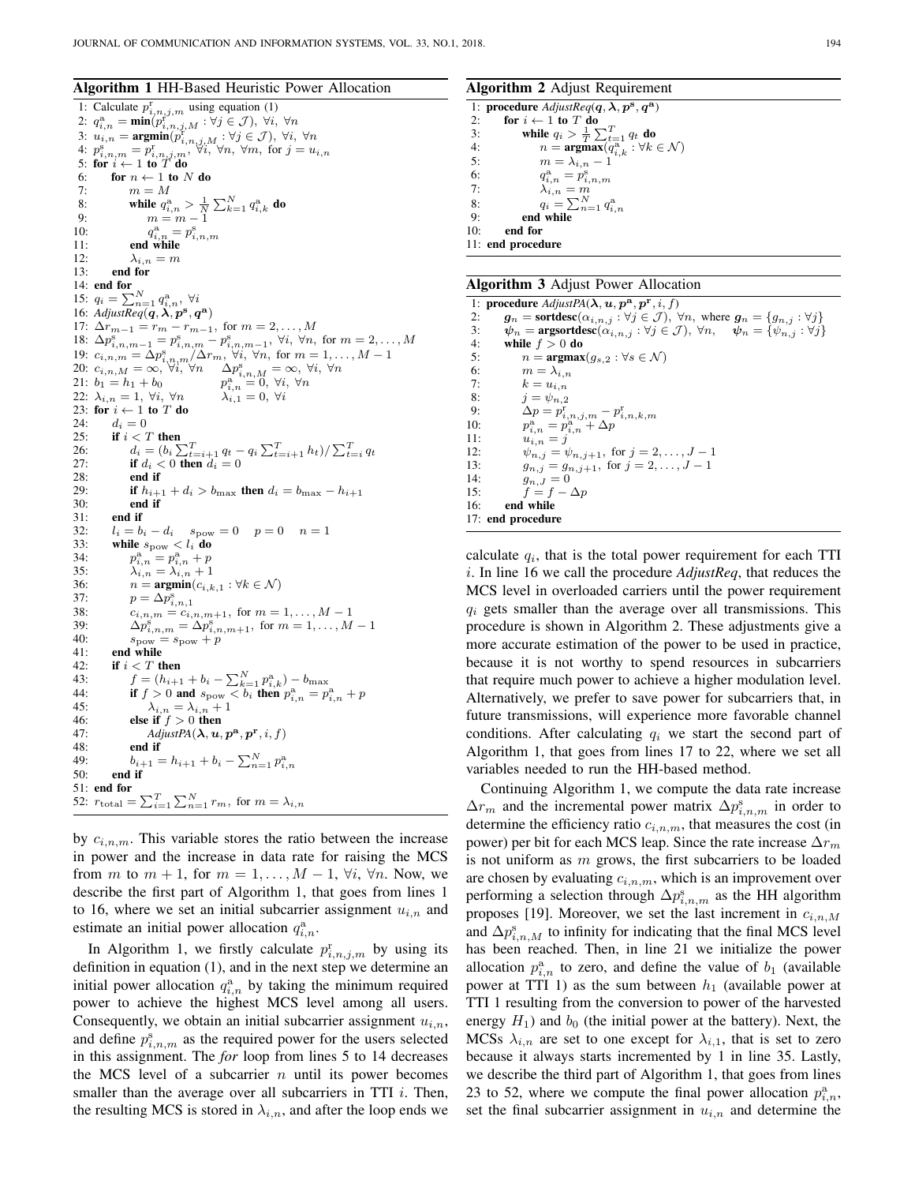### Algorithm 1 HH-Based Heuristic Power Allocation

1: Calculate  $p_{i,n,j,m}^{\rm r}$  using equation (1) 2:  $q_{i,n}^{\mathrm{a}} = \min(p_{i,n,j,M}^{\mathrm{r}} : \forall j \in \mathcal{J}), \ \forall i, \ \forall n$ 3:  $u_{i,n} = \operatorname{argmin}(p_{i,n,j,M}^{\mathcal{S}} : \forall j \in \mathcal{J})$ ,  $\forall i$ ,  $\forall n$ <br>4:  $p_{i,n,m}^{\mathcal{S}} = p_{i,n,j,m}^{\mathcal{S}}, \forall i$ ,  $\forall n$ ,  $\forall m$ , for  $j = u_{i,n}$ <br>5: for  $i \leftarrow 1$  to T do 6: for  $n \leftarrow 1$  to N do<br>7:  $m = M$ 7:  $m = M$ <br>8: while  $q_i^{\text{a}}$ 8: while  $q_{i,n}^a > \frac{1}{N} \sum_{k=1}^N q_{i,k}^a$  do <br>9:  $m = m - 1$  $\frac{10}{11}$  $\sum_{i,n=1}^{\infty} p_{i,n,m}^{\mathrm{s}}$ end while 12:  $\lambda_{i,n} = m$ <br>13: **end for** 13: end for 14: end for 15:  $q_i = \sum_{n=1}^{N} q_{i,n}^a, \forall i$ <br>16: Adjust Real  $\Omega$ ,  $\mathbb{R}^s$ ,  $\Omega$ 16:  $AdjustReg(\boldsymbol{q}, \boldsymbol{\lambda}, \boldsymbol{p}^{\textbf{s}}, \boldsymbol{q}^{\textbf{a}})$ 17:  $\Delta r_{m-1} = r_m - r_{m-1}$ , for  $m = 2, ..., M$ 18:  $\Delta p_{i,n,m-1}^{\rm s} = p_{i,n,m}^{\rm s} - p_{i,n,m-1}^{\rm s}$ ,  $\forall i, \forall n$ , for  $m = 2, ..., M$ 19:  $c_{i,n,m} = \Delta p_{i,n,m}^{\rm s} / \Delta r_m$ ,  $\forall i, \forall n$ , for  $m = 1, ..., M - 1$ 20:  $c_{i,n,M} = \infty$ ,  $\forall i, \forall n \qquad \Delta p_{i,n,M}^{\rm s} = \infty$ ,  $\forall i, \forall n$ <br>21:  $b_1 = h_1 + b_0$   $p_{i,n}^{\rm a} = 0$ ,  $\forall i, \forall n$ 22:  $\lambda_{i,n} = 1, \forall i, \forall n$   $\lambda_{i,1}^{i,n} = 0, \forall i$ 23: for  $i \leftarrow 1$  to  $T$  do 24:  $d_i = 0$ <br>25: **if**  $i < 1$ 25: if  $i < T$  then<br>26:  $d_i = (b_i)$ 26:  $d_i = (b_i \sum_{t=i+1}^{T} q_t - q_i \sum_{t=i+1}^{T} h_t) / \sum_{t=i}^{T} q_t$ 27: **if**  $d_i < 0$  then  $d_i = 0$ <br>28: **end if** 28: end if  $\begin{array}{ccc} 29 & \text{if } h_{i+1} \end{array}$ 29: **if**  $h_{i+1} + d_i > b_{\text{max}}$  then  $d_i = b_{\text{max}} - h_{i+1}$ <br>30: **end if** 30: end if end if 32:  $l_i = b_i - d_i$   $s_{\text{pow}} = 0$   $p = 0$   $n = 1$ <br>33: while  $s_{\text{now}} < l_i$  do while  $s_{\text{pow}} < l_i$  do  $34:$  $\sum_{i,n}^{\text{a}} = p_{i,n}^{\text{a}} + p$ 35:  $\lambda_{i,n} = \lambda_{i,n} + 1$ <br>36:  $n = \text{argmin}(c_{i,k})$ 36:  $n = \operatorname{argmin}(c_{i,k,1} : \forall k \in \mathcal{N})$ <br>37:  $p = \Delta p^s$ 37:  $p = \Delta p_{i,n,1}^s$ 38:  $c_{i,n,m} = c_{i,n,m+1}$ , for  $m = 1, ..., M-1$ <br>39:  $\Delta n^5 = \Delta n^5$  ... for  $m = 1, ..., M$ 39:  $\Delta p_{i,n,m}^s = \Delta p_{i,n,m+1}^s$ , for  $m = 1, ..., M - 1$ <br>40:  $s_{\text{pow}} = s_{\text{pow}} + p$ 41: end while 42: if  $i < T$  then 43:  $f = (h_{i+1} + b_i - \sum_{k=1}^{N} p_{i,k}^{\mathbf{a}}) - b_{\text{max}}$ 44: if  $f > 0$  and  $s_{\text{pow}} < b_i$  then  $p_{i,n}^{\text{a}} = p_{i,n}^{\text{a}} + p_{i,n}^{\text{a}}$ 45:  $\lambda_{i,n} = \lambda_{i,n} + 1$ <br>46: else if  $f > 0$  then else if  $f > 0$  then 47: *AdjustPA* $(\lambda, \mathbf{u}, \mathbf{p}^{\mathbf{a}}, \mathbf{p}^{\mathbf{r}}, i, f)$ 48: end if 49:  $b_{i+1} = h_{i+1} + b_i - \sum_{n=1}^{N} p_{i,n}^a$ 50: end if 51: end for 52:  $r_{\text{total}} = \sum_{i=1}^{T} \sum_{n=1}^{N} r_m$ , for  $m = \lambda_{i,n}$ 

by  $c_{i,n,m}$ . This variable stores the ratio between the increase in power and the increase in data rate for raising the MCS from m to  $m + 1$ , for  $m = 1, \ldots, M - 1$ ,  $\forall i$ ,  $\forall n$ . Now, we describe the first part of Algorithm 1, that goes from lines 1 to 16, where we set an initial subcarrier assignment  $u_{i,n}$  and estimate an initial power allocation  $q_{i,n}^a$ .

In Algorithm 1, we firstly calculate  $p_{i,n,j,m}^{\rm r}$  by using its definition in equation (1), and in the next step we determine an initial power allocation  $q_{i,n}^a$  by taking the minimum required power to achieve the highest MCS level among all users. Consequently, we obtain an initial subcarrier assignment  $u_{i,n}$ , and define  $p_{i,n,m}^s$  as the required power for the users selected in this assignment. The *for* loop from lines 5 to 14 decreases the MCS level of a subcarrier  $n$  until its power becomes smaller than the average over all subcarriers in TTI  $i$ . Then, the resulting MCS is stored in  $\lambda_{i,n}$ , and after the loop ends we

### Algorithm 2 Adjust Requirement

1: procedure  $\text{AdjustReg}(q, \lambda, p^{\text{s}}, q^{\text{a}})$ 2: for  $i \leftarrow 1$  to T do<br>3: while  $q_i > \frac{1}{T}$ 3: while  $q_i > \frac{1}{T} \sum_{t=1}^T q_t$  do<br>4:  $n = \mathop{\rm argmax} (q_{i,k}^a : \forall k \in \mathcal{N})$ 5:  $m = \lambda_{i,n} - 1$ 6:  $q_{i,n}^{\text{a}} = p_{i,n,m}^{\text{s}}$ 7:  $\lambda_{i,n} = m$ 8:  $q_i = \sum_{n=1}^{N} q_{i,n}^{\mathbf{a}}$ 9: end while 10: end for 11: end procedure

1: procedure  $AdjustPA(\lambda, u, p^a, p^r, i, f)$ 2:  $g_n = \text{sortedesc}(\alpha_{i,n,j} : \forall j \in \mathcal{J})$ ,  $\forall n$ , where  $g_n = \{g_{n,j} : \forall j \}$ <br>3:  $\psi_n = \text{argsortdesc}(\alpha_{i,n,j} : \forall j \in \mathcal{J})$ ,  $\forall n$ ,  $\psi_n = \{ \psi_{n,j} : \forall j \}$ 3:  $\psi_n = \text{argsortdesc}(\alpha_{i,n,j} : \forall j \in \mathcal{J}), \forall n, \quad \psi_n = {\psi_{n,j} : \forall j}$ <br>4: while  $f > 0$  do while  $f > 0$  do 5:  $n = \mathop{\rm argmax}_{g_{s,2}} (g_{s,2} : \forall s \in \mathcal{N})$ <br>6:  $m = \lambda_{j,n}$ 6:  $m = \lambda_{i,n}$ <br>7:  $k = u_{i,n}$ 7:  $k = u_{i,n}$ <br>8:  $i = \psi_{n,2}$ 8:  $j = \psi_{n,2}$ <br>9:  $\Delta p = p_i^r$ 9:  $\Delta p = p_{i,n,j,m}^{\rm r} - p_{i,n,k,m}^{\rm r}$  $10:$  $\mathbf{a}_{i,n}^{\mathbf{a}}=p_{i,n}^{\mathbf{a}}+\Delta p$ 11:  $u_{i,n} = j$ <br>12:  $\psi_{n,i} = v$ 12:  $\psi_{n,j} = \psi_{n,j+1}$ , for  $j = 2, ..., J-1$ <br>13:  $g_{n,i} = g_{n,i+1}$ , for  $j = 2, ..., J-1$ 13:  $g_{n,j} = g_{n,j+1}$ , for  $j = 2, ..., J-1$ <br>14:  $g_{n, J} = 0$ 14:  $g_{n,J} = 0$ <br>15:  $f = f - I$  $f = f - \Delta p$ 16: end while 17: end procedure

calculate  $q_i$ , that is the total power requirement for each TTI i. In line 16 we call the procedure *AdjustReq*, that reduces the MCS level in overloaded carriers until the power requirement  $q_i$  gets smaller than the average over all transmissions. This procedure is shown in Algorithm 2. These adjustments give a more accurate estimation of the power to be used in practice, because it is not worthy to spend resources in subcarriers that require much power to achieve a higher modulation level. Alternatively, we prefer to save power for subcarriers that, in future transmissions, will experience more favorable channel conditions. After calculating  $q_i$  we start the second part of Algorithm 1, that goes from lines 17 to 22, where we set all variables needed to run the HH-based method.

Continuing Algorithm 1, we compute the data rate increase  $\Delta r_m$  and the incremental power matrix  $\Delta p_{i,n,m}^{\rm s}$  in order to determine the efficiency ratio  $c_{i,n,m}$ , that measures the cost (in power) per bit for each MCS leap. Since the rate increase  $\Delta r_m$ is not uniform as  $m$  grows, the first subcarriers to be loaded are chosen by evaluating  $c_{i,n,m}$ , which is an improvement over performing a selection through  $\Delta p_{i,n,m}^{\mathrm{s}}$  as the HH algorithm proposes [19]. Moreover, we set the last increment in  $c_{i,n,M}$ and  $\Delta p_{i,n,M}^{\rm s}$  to infinity for indicating that the final MCS level has been reached. Then, in line 21 we initialize the power allocation  $p_{i,n}^{\text{a}}$  to zero, and define the value of  $b_1$  (available power at TTI 1) as the sum between  $h_1$  (available power at TTI 1 resulting from the conversion to power of the harvested energy  $H_1$ ) and  $b_0$  (the initial power at the battery). Next, the MCSs  $\lambda_{i,n}$  are set to one except for  $\lambda_{i,1}$ , that is set to zero because it always starts incremented by 1 in line 35. Lastly, we describe the third part of Algorithm 1, that goes from lines 23 to 52, where we compute the final power allocation  $p_{i,n}^{\text{a}}$ , set the final subcarrier assignment in  $u_{i,n}$  and determine the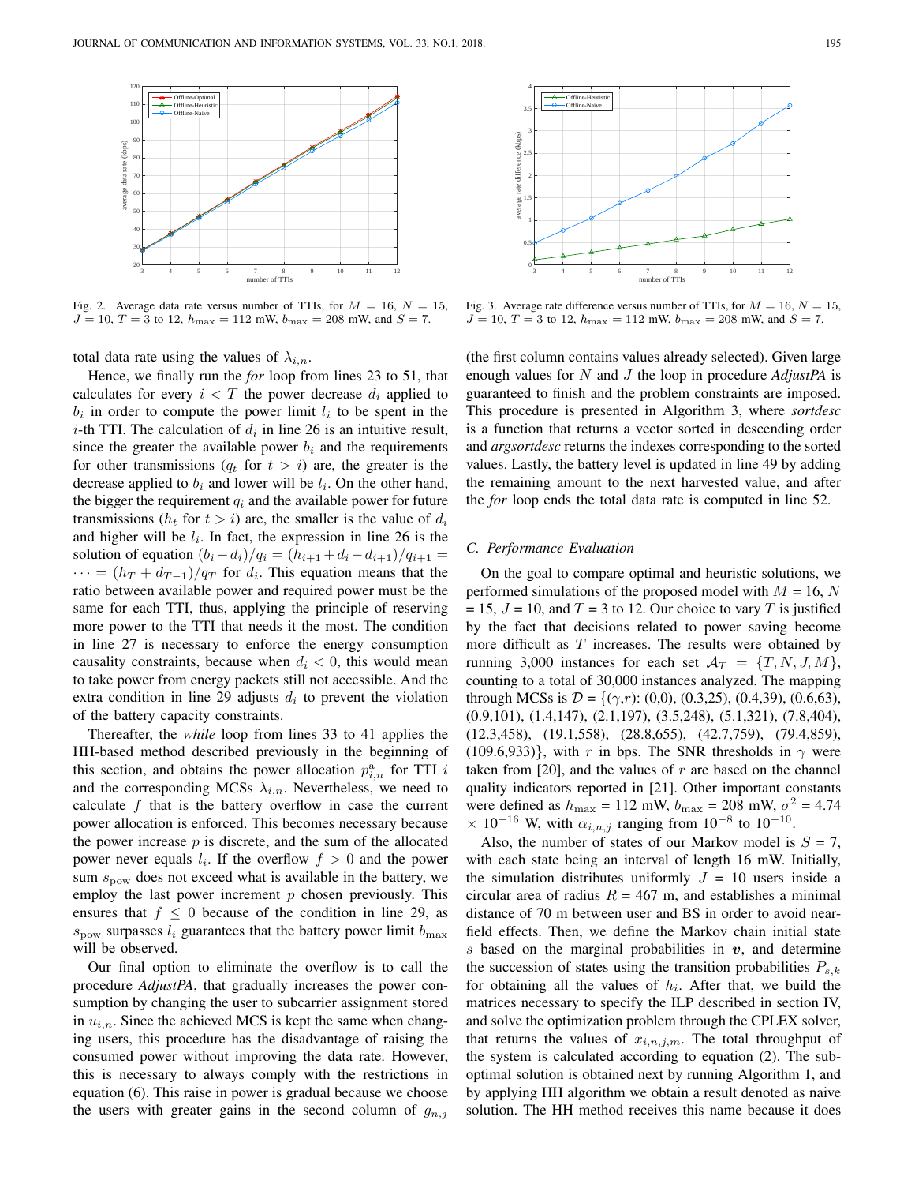

Fig. 2. Average data rate versus number of TTIs, for  $M = 16$ ,  $N = 15$ ,  $J = 10, T = 3$  to 12,  $h_{\text{max}} = 112$  mW,  $b_{\text{max}} = 208$  mW, and  $S = 7$ .

total data rate using the values of  $\lambda_{i,n}$ .

Hence, we finally run the *for* loop from lines 23 to 51, that calculates for every  $i < T$  the power decrease  $d_i$  applied to  $b_i$  in order to compute the power limit  $l_i$  to be spent in the *i*-th TTI. The calculation of  $d_i$  in line 26 is an intuitive result, since the greater the available power  $b_i$  and the requirements for other transmissions  $(q_t \text{ for } t > i)$  are, the greater is the decrease applied to  $b_i$  and lower will be  $l_i$ . On the other hand, the bigger the requirement  $q_i$  and the available power for future transmissions ( $h_t$  for  $t > i$ ) are, the smaller is the value of  $d_i$ and higher will be  $l_i$ . In fact, the expression in line 26 is the solution of equation  $(b_i - d_i)/q_i = (h_{i+1} + d_i - d_{i+1})/q_{i+1} =$  $\cdots = (h_T + d_{T-1})/q_T$  for  $d_i$ . This equation means that the ratio between available power and required power must be the same for each TTI, thus, applying the principle of reserving more power to the TTI that needs it the most. The condition in line 27 is necessary to enforce the energy consumption causality constraints, because when  $d_i < 0$ , this would mean to take power from energy packets still not accessible. And the extra condition in line 29 adjusts  $d_i$  to prevent the violation of the battery capacity constraints.

Thereafter, the *while* loop from lines 33 to 41 applies the HH-based method described previously in the beginning of this section, and obtains the power allocation  $p_{i,n}^{\text{a}}$  for TTI i and the corresponding MCSs  $\lambda_{i,n}$ . Nevertheless, we need to calculate  $f$  that is the battery overflow in case the current power allocation is enforced. This becomes necessary because the power increase  $p$  is discrete, and the sum of the allocated power never equals  $l_i$ . If the overflow  $f > 0$  and the power sum  $s_{\text{pow}}$  does not exceed what is available in the battery, we employ the last power increment  $p$  chosen previously. This ensures that  $f \leq 0$  because of the condition in line 29, as  $s_{\text{now}}$  surpasses  $l_i$  guarantees that the battery power limit  $b_{\text{max}}$ will be observed.

Our final option to eliminate the overflow is to call the procedure *AdjustPA*, that gradually increases the power consumption by changing the user to subcarrier assignment stored in  $u_{i,n}$ . Since the achieved MCS is kept the same when changing users, this procedure has the disadvantage of raising the consumed power without improving the data rate. However, this is necessary to always comply with the restrictions in equation (6). This raise in power is gradual because we choose the users with greater gains in the second column of  $g_{n,j}$ 



Fig. 3. Average rate difference versus number of TTIs, for  $M = 16$ ,  $N = 15$ ,  $J = 10, T = 3$  to 12,  $h_{\text{max}} = 112$  mW,  $b_{\text{max}} = 208$  mW, and  $S = 7$ .

(the first column contains values already selected). Given large enough values for N and J the loop in procedure *AdjustPA* is guaranteed to finish and the problem constraints are imposed. This procedure is presented in Algorithm 3, where *sortdesc* is a function that returns a vector sorted in descending order and *argsortdesc* returns the indexes corresponding to the sorted values. Lastly, the battery level is updated in line 49 by adding the remaining amount to the next harvested value, and after the *for* loop ends the total data rate is computed in line 52.

# *C. Performance Evaluation*

On the goal to compare optimal and heuristic solutions, we performed simulations of the proposed model with  $M = 16$ , N  $= 15$ ,  $J = 10$ , and  $T = 3$  to 12. Our choice to vary T is justified by the fact that decisions related to power saving become more difficult as  $T$  increases. The results were obtained by running 3,000 instances for each set  $\mathcal{A}_T = \{T, N, J, M\},\$ counting to a total of 30,000 instances analyzed. The mapping through MCSs is  $\mathcal{D} = \{(\gamma, r): (0, 0), (0.3, 25), (0.4, 39), (0.6, 63),$ (0.9,101), (1.4,147), (2.1,197), (3.5,248), (5.1,321), (7.8,404), (12.3,458), (19.1,558), (28.8,655), (42.7,759), (79.4,859), (109.6,933)}, with r in bps. The SNR thresholds in  $\gamma$  were taken from [20], and the values of  $r$  are based on the channel quality indicators reported in [21]. Other important constants were defined as  $h_{\text{max}} = 112 \text{ mW}$ ,  $b_{\text{max}} = 208 \text{ mW}$ ,  $\sigma^2 = 4.74$  $\times$  10<sup>-16</sup> W, with  $\alpha_{i,n,j}$  ranging from 10<sup>-8</sup> to 10<sup>-10</sup>.

Also, the number of states of our Markov model is  $S = 7$ , with each state being an interval of length 16 mW. Initially, the simulation distributes uniformly  $J = 10$  users inside a circular area of radius  $R = 467$  m, and establishes a minimal distance of 70 m between user and BS in order to avoid nearfield effects. Then, we define the Markov chain initial state s based on the marginal probabilities in  $v$ , and determine the succession of states using the transition probabilities  $P_{s,k}$ for obtaining all the values of  $h_i$ . After that, we build the matrices necessary to specify the ILP described in section IV, and solve the optimization problem through the CPLEX solver, that returns the values of  $x_{i,n,j,m}$ . The total throughput of the system is calculated according to equation (2). The suboptimal solution is obtained next by running Algorithm 1, and by applying HH algorithm we obtain a result denoted as naive solution. The HH method receives this name because it does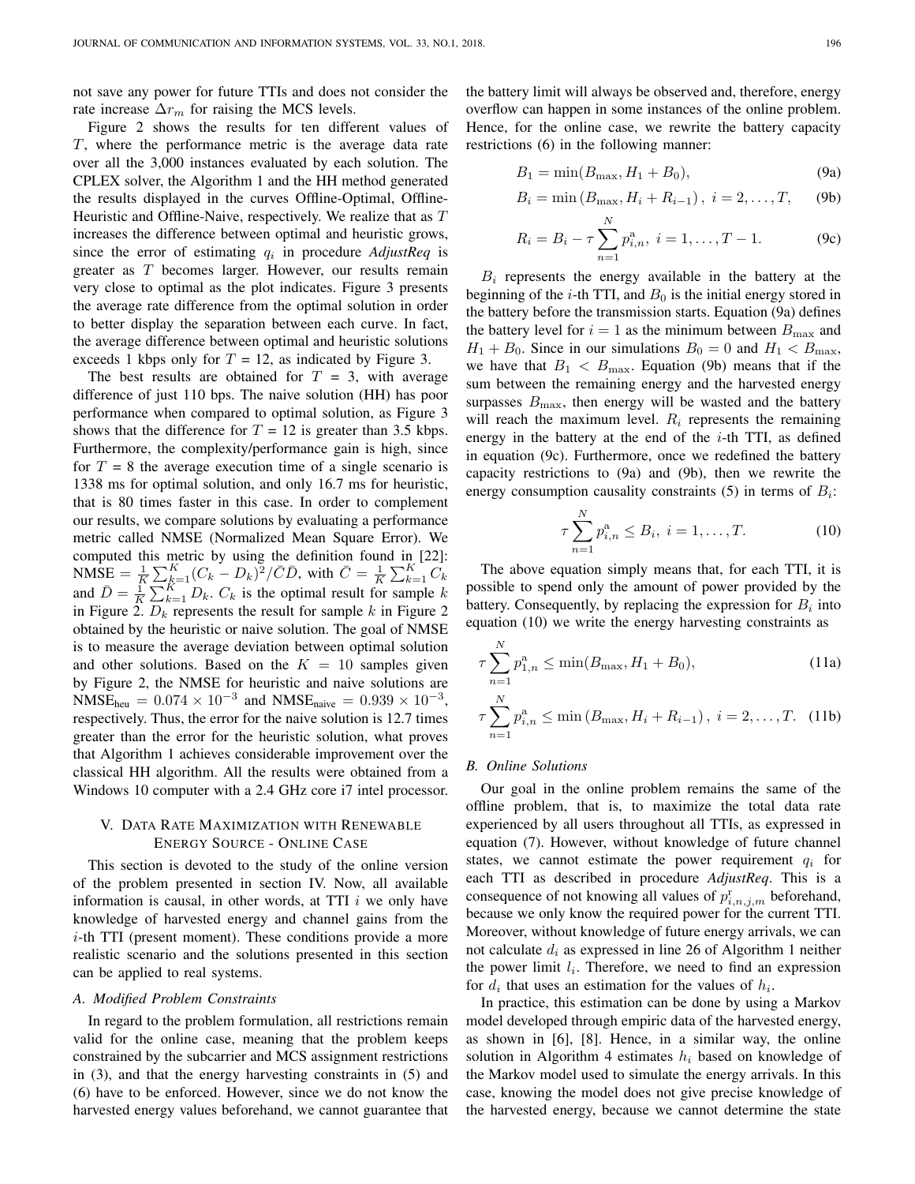not save any power for future TTIs and does not consider the rate increase  $\Delta r_m$  for raising the MCS levels.

Figure 2 shows the results for ten different values of T, where the performance metric is the average data rate over all the 3,000 instances evaluated by each solution. The CPLEX solver, the Algorithm 1 and the HH method generated the results displayed in the curves Offline-Optimal, Offline-Heuristic and Offline-Naive, respectively. We realize that as T increases the difference between optimal and heuristic grows, since the error of estimating  $q_i$  in procedure *AdjustReq* is greater as T becomes larger. However, our results remain very close to optimal as the plot indicates. Figure 3 presents the average rate difference from the optimal solution in order to better display the separation between each curve. In fact, the average difference between optimal and heuristic solutions exceeds 1 kbps only for  $T = 12$ , as indicated by Figure 3.

The best results are obtained for  $T = 3$ , with average difference of just 110 bps. The naive solution (HH) has poor performance when compared to optimal solution, as Figure 3 shows that the difference for  $T = 12$  is greater than 3.5 kbps. Furthermore, the complexity/performance gain is high, since for  $T = 8$  the average execution time of a single scenario is 1338 ms for optimal solution, and only 16.7 ms for heuristic, that is 80 times faster in this case. In order to complement our results, we compare solutions by evaluating a performance metric called NMSE (Normalized Mean Square Error). We computed this metric by using the definition found in [22]: NMSE =  $\frac{1}{K} \sum_{k=1}^{K} (C_k - D_k)^2 / \overline{C} \overline{D}$ , with  $\overline{C} = \frac{1}{K} \sum_{k=1}^{K} C_k$ and  $\overline{D} = \frac{1}{K} \sum_{k=1}^{K} D_k$ .  $C_k$  is the optimal result for sample k in Figure 2.  $D_k$  represents the result for sample k in Figure 2 obtained by the heuristic or naive solution. The goal of NMSE is to measure the average deviation between optimal solution and other solutions. Based on the  $K = 10$  samples given by Figure 2, the NMSE for heuristic and naive solutions are  $NMSE_{heu} = 0.074 \times 10^{-3}$  and  $NMSE_{naive} = 0.939 \times 10^{-3}$ , respectively. Thus, the error for the naive solution is 12.7 times greater than the error for the heuristic solution, what proves that Algorithm 1 achieves considerable improvement over the classical HH algorithm. All the results were obtained from a Windows 10 computer with a 2.4 GHz core i7 intel processor.

# V. DATA RATE MAXIMIZATION WITH RENEWABLE ENERGY SOURCE - ONLINE CASE

This section is devoted to the study of the online version of the problem presented in section IV. Now, all available information is causal, in other words, at TTI  $i$  we only have knowledge of harvested energy and channel gains from the  $i$ -th TTI (present moment). These conditions provide a more realistic scenario and the solutions presented in this section can be applied to real systems.

## *A. Modified Problem Constraints*

In regard to the problem formulation, all restrictions remain valid for the online case, meaning that the problem keeps constrained by the subcarrier and MCS assignment restrictions in (3), and that the energy harvesting constraints in (5) and (6) have to be enforced. However, since we do not know the harvested energy values beforehand, we cannot guarantee that the battery limit will always be observed and, therefore, energy overflow can happen in some instances of the online problem. Hence, for the online case, we rewrite the battery capacity restrictions (6) in the following manner:

$$
B_1 = \min(B_{\max}, H_1 + B_0), \tag{9a}
$$

$$
B_i = \min(B_{\max}, H_i + R_{i-1}), i = 2, ..., T,
$$
 (9b)

$$
R_i = B_i - \tau \sum_{n=1}^{N} p_{i,n}^{\rm a}, \ i = 1, \dots, T - 1.
$$
 (9c)

 $B_i$  represents the energy available in the battery at the beginning of the *i*-th TTI, and  $B_0$  is the initial energy stored in the battery before the transmission starts. Equation (9a) defines the battery level for  $i = 1$  as the minimum between  $B_{\text{max}}$  and  $H_1 + B_0$ . Since in our simulations  $B_0 = 0$  and  $H_1 < B_{\text{max}}$ , we have that  $B_1 < B_{\text{max}}$ . Equation (9b) means that if the sum between the remaining energy and the harvested energy surpasses  $B_{\text{max}}$ , then energy will be wasted and the battery will reach the maximum level.  $R_i$  represents the remaining energy in the battery at the end of the  $i$ -th TTI, as defined in equation (9c). Furthermore, once we redefined the battery capacity restrictions to (9a) and (9b), then we rewrite the energy consumption causality constraints (5) in terms of  $B_i$ :

$$
\tau \sum_{n=1}^{N} p_{i,n}^{a} \le B_{i}, \ i = 1, \dots, T. \tag{10}
$$

The above equation simply means that, for each TTI, it is possible to spend only the amount of power provided by the battery. Consequently, by replacing the expression for  $B_i$  into equation (10) we write the energy harvesting constraints as

$$
\tau \sum_{n=1}^{N} p_{1,n}^{\mathbf{a}} \le \min(B_{\max}, H_1 + B_0),\tag{11a}
$$

$$
\tau \sum_{n=1}^{N} p_{i,n}^{a} \le \min (B_{\max}, H_i + R_{i-1}), \ i = 2, \dots, T. \tag{11b}
$$

#### *B. Online Solutions*

Our goal in the online problem remains the same of the offline problem, that is, to maximize the total data rate experienced by all users throughout all TTIs, as expressed in equation (7). However, without knowledge of future channel states, we cannot estimate the power requirement  $q_i$  for each TTI as described in procedure *AdjustReq*. This is a consequence of not knowing all values of  $p_{i,n,j,m}^{\text{r}}$  beforehand, because we only know the required power for the current TTI. Moreover, without knowledge of future energy arrivals, we can not calculate  $d_i$  as expressed in line 26 of Algorithm 1 neither the power limit  $l_i$ . Therefore, we need to find an expression for  $d_i$  that uses an estimation for the values of  $h_i$ .

In practice, this estimation can be done by using a Markov model developed through empiric data of the harvested energy, as shown in [6], [8]. Hence, in a similar way, the online solution in Algorithm 4 estimates  $h_i$  based on knowledge of the Markov model used to simulate the energy arrivals. In this case, knowing the model does not give precise knowledge of the harvested energy, because we cannot determine the state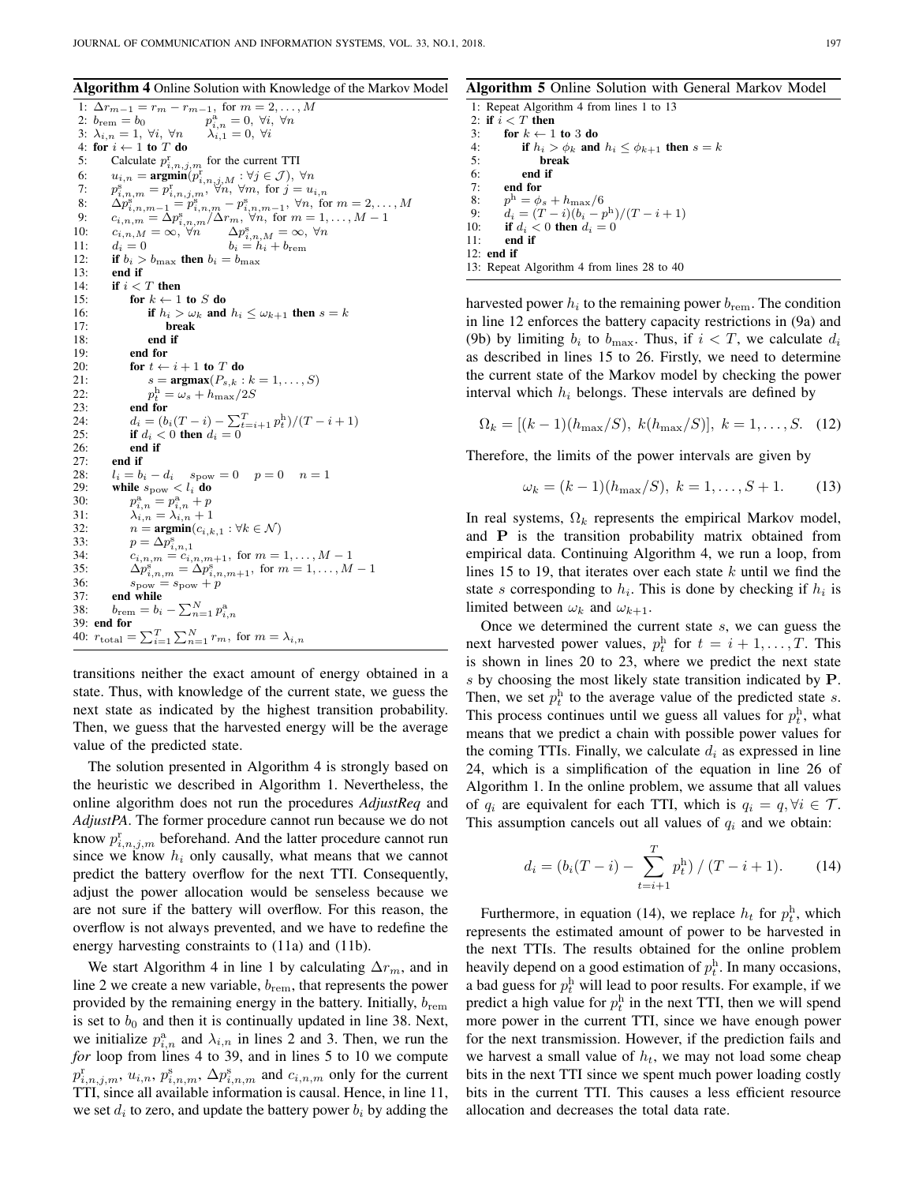Algorithm 4 Online Solution with Knowledge of the Markov Model

|     | 1: $\Delta r_{m-1} = r_m - r_{m-1}$ , for $m = 2, , M$                                                             |
|-----|--------------------------------------------------------------------------------------------------------------------|
|     | $p_{i,n}^{\rm a}=0,~\forall i,~\forall n$<br>2: $b_{\text{rem}} = b_0$                                             |
|     | 3: $\lambda_{i,n} = 1, \forall i, \forall n$<br>$\lambda_{i,1}=0, \ \forall i$                                     |
| 4:  | for $i \leftarrow 1$ to T do                                                                                       |
| 5:  | Calculate $p_{i,n,j,m}^{\rm r}$ for the current TTI                                                                |
| 6:  | $u_{i,n} = \operatorname{argmin}(p_{i,n,j,M}^{\mathrm{r}} : \forall j \in \mathcal{J}), \ \forall n$               |
| 7:  | $p_{i,n,m}^{\mathrm{s}}=p_{i,n,j,m}^{\mathrm{r}},\ \forall n,\ \forall m,\ \mathrm{for}\ j=u_{i,n}$                |
| 8:  | $\Delta p_{i,n,m-1}^{\rm s} = p_{i,n,m}^{\rm s} - p_{i,n,m-1}^{\rm s}, \ \forall n, \text{ for } m = 2, \ldots, M$ |
| 9:  | $c_{i,n,m} = \Delta p_{i,n,m}^{\rm s}/\Delta r_m, \ \forall n, \ \text{for} \ m = 1, \ldots, M-1$                  |
| 10: | $c_{i,n,M} = \infty, \forall n$                                                                                    |
| 11: | $\Delta p_{i,n,M}^{\rm s} = \infty, \ \forall n$<br>$b_i = h_i + b_{\rm rem}$<br>$d_i=0$                           |
| 12: | if $b_i > b_{\text{max}}$ then $b_i = b_{\text{max}}$                                                              |
| 13: | end if                                                                                                             |
| 14: | if $i < T$ then                                                                                                    |
| 15: | for $k \leftarrow 1$ to S do                                                                                       |
| 16: | if $h_i > \omega_k$ and $h_i \leq \omega_{k+1}$ then $s = k$                                                       |
| 17: | break                                                                                                              |
| 18: | end if                                                                                                             |
| 19: | end for                                                                                                            |
| 20: | for $t \leftarrow i + 1$ to T do                                                                                   |
| 21: | $s = \mathop{\rm argmax}(P_{s,k}: k = 1, \ldots, S)$                                                               |
| 22: | $p_t^{\rm h} = \omega_s + h_{\rm max}/2S$                                                                          |
| 23: | end for                                                                                                            |
| 24: | $d_i = (b_i(T - i) - \sum_{t=i+1}^{T} p_t^h)/(T - i + 1)$                                                          |
| 25: | if $d_i < 0$ then $d_i = 0$                                                                                        |
| 26: | end if                                                                                                             |
| 27: | end if                                                                                                             |
| 28: | $l_i = b_i - d_i$ $s_{\text{pow}} = 0$ $p = 0$ $n = 1$                                                             |
| 29: | while $s_{\text{pow}} < l_i$ do                                                                                    |
| 30: | $p_{i,n}^{\rm a}=p_{i,n}^{\rm a}+p$                                                                                |
| 31: | $\lambda_{i,n} = \lambda_{i,n} + 1$                                                                                |
| 32: | $n = \text{argmin}(c_{i,k,1} : \forall k \in \mathcal{N})$                                                         |
| 33: | $p=\Delta p_{i,n,1}^{\mathrm{s}}$                                                                                  |
| 34: | $c_{i,n,m} = c_{i,n,m+1}$ , for $m = 1, , M-1$                                                                     |
| 35: | $\Delta p_{i,n,m}^{\rm s} = \Delta p_{i,n,m+1}^{\rm s}$ , for $m = 1, , M - 1$                                     |
| 36: | $s_{\text{pow}} = s_{\text{pow}} + p$                                                                              |
| 37: | end while                                                                                                          |
| 38: | $b_{\mathrm{rem}} = b_i - \sum_{n=1}^N p_{i,n}^{\mathrm{a}}$                                                       |
|     | $39:$ end for                                                                                                      |
|     | 40: $r_{\text{total}} = \sum_{i=1}^{T} \sum_{n=1}^{N} r_m$ , for $m = \lambda_{i,n}$                               |

transitions neither the exact amount of energy obtained in a state. Thus, with knowledge of the current state, we guess the next state as indicated by the highest transition probability. Then, we guess that the harvested energy will be the average value of the predicted state.

The solution presented in Algorithm 4 is strongly based on the heuristic we described in Algorithm 1. Nevertheless, the online algorithm does not run the procedures *AdjustReq* and *AdjustPA*. The former procedure cannot run because we do not know  $p_{i,n,j,m}^{\text{r}}$  beforehand. And the latter procedure cannot run since we know  $h_i$  only causally, what means that we cannot predict the battery overflow for the next TTI. Consequently, adjust the power allocation would be senseless because we are not sure if the battery will overflow. For this reason, the overflow is not always prevented, and we have to redefine the energy harvesting constraints to (11a) and (11b).

We start Algorithm 4 in line 1 by calculating  $\Delta r_m$ , and in line 2 we create a new variable,  $b_{\text{rem}}$ , that represents the power provided by the remaining energy in the battery. Initially,  $b_{\text{rem}}$ is set to  $b_0$  and then it is continually updated in line 38. Next, we initialize  $p_{i,n}^{\text{a}}$  and  $\lambda_{i,n}$  in lines 2 and 3. Then, we run the *for* loop from lines 4 to 39, and in lines 5 to 10 we compute  $p_{i,n,j,m}^{\rm r}, u_{i,n}, p_{i,n,m}^{\rm s}, \Delta p_{i,n,m}^{\rm s}$  and  $c_{i,n,m}$  only for the current TTI, since all available information is causal. Hence, in line 11, we set  $d_i$  to zero, and update the battery power  $b_i$  by adding the

## Algorithm 5 Online Solution with General Markov Model

1: Repeat Algorithm 4 from lines 1 to 13 2: if  $i < T$  then 3: for  $k \leftarrow 1$  to 3 do 4: if  $h_i > \phi_k$  and  $h_i \le \phi_{k+1}$  then  $s = k$ <br>5. hreak 5: break<br>6: end if 6: **end if**  $7<sup>1</sup>$  end for end for 8:  $p^{\rm h} = \phi_s + h_{\rm max}/6$ 9:  $d_i = (T - i)(b_i - p^h)/(T - i + 1)$ 10: if  $d_i < 0$  then  $d_i = 0$ <br>11: end if end if 12: end if 13: Repeat Algorithm 4 from lines 28 to 40

harvested power  $h_i$  to the remaining power  $b_{\text{rem}}$ . The condition in line 12 enforces the battery capacity restrictions in (9a) and (9b) by limiting  $b_i$  to  $b_{\text{max}}$ . Thus, if  $i < T$ , we calculate  $d_i$ as described in lines 15 to 26. Firstly, we need to determine the current state of the Markov model by checking the power interval which  $h_i$  belongs. These intervals are defined by

$$
\Omega_k = [(k-1)(h_{\text{max}}/S), k(h_{\text{max}}/S)], k = 1, ..., S. (12)
$$

Therefore, the limits of the power intervals are given by

$$
\omega_k = (k-1)(h_{\text{max}}/S), \ k = 1, \dots, S+1.
$$
 (13)

In real systems,  $\Omega_k$  represents the empirical Markov model, and P is the transition probability matrix obtained from empirical data. Continuing Algorithm 4, we run a loop, from lines 15 to 19, that iterates over each state  $k$  until we find the state s corresponding to  $h_i$ . This is done by checking if  $h_i$  is limited between  $\omega_k$  and  $\omega_{k+1}$ .

Once we determined the current state  $s$ , we can guess the next harvested power values,  $p_t^{\text{h}}$  for  $t = i + 1, \dots, T$ . This is shown in lines 20 to 23, where we predict the next state s by choosing the most likely state transition indicated by P. Then, we set  $p_t^h$  to the average value of the predicted state s. This process continues until we guess all values for  $p_t^{\text{h}}$ , what means that we predict a chain with possible power values for the coming TTIs. Finally, we calculate  $d_i$  as expressed in line 24, which is a simplification of the equation in line 26 of Algorithm 1. In the online problem, we assume that all values of  $q_i$  are equivalent for each TTI, which is  $q_i = q, \forall i \in \mathcal{T}$ . This assumption cancels out all values of  $q_i$  and we obtain:

$$
d_i = (b_i(T - i) - \sum_{t=i+1}^{T} p_t^h) / (T - i + 1).
$$
 (14)

Furthermore, in equation (14), we replace  $h_t$  for  $p_t^{\text{h}}$ , which represents the estimated amount of power to be harvested in the next TTIs. The results obtained for the online problem heavily depend on a good estimation of  $p_t^{\text{h}}$ . In many occasions, a bad guess for  $p_t^{\text{h}}$  will lead to poor results. For example, if we predict a high value for  $p_t^{\text{h}}$  in the next TTI, then we will spend more power in the current TTI, since we have enough power for the next transmission. However, if the prediction fails and we harvest a small value of  $h_t$ , we may not load some cheap bits in the next TTI since we spent much power loading costly bits in the current TTI. This causes a less efficient resource allocation and decreases the total data rate.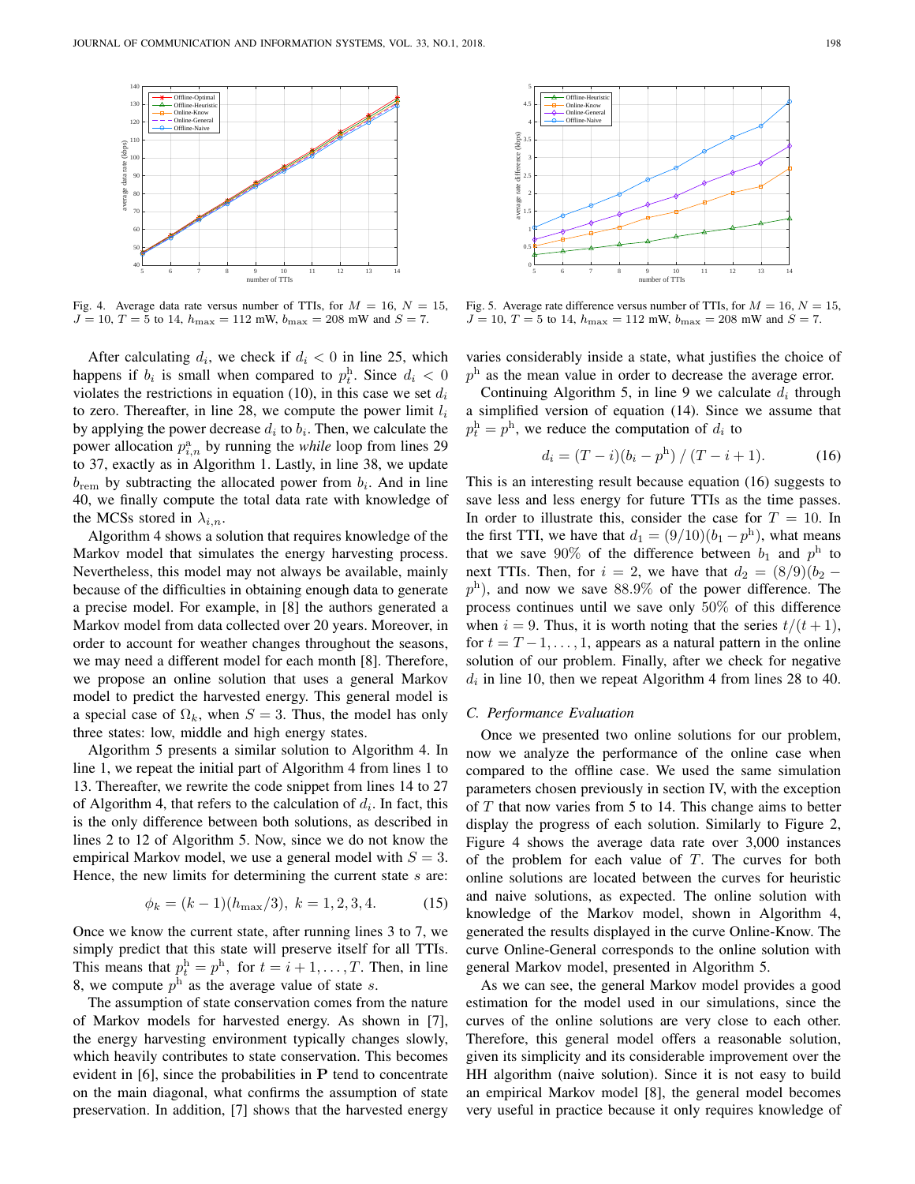

Fig. 4. Average data rate versus number of TTIs, for  $M = 16$ ,  $N = 15$ ,  $J = 10, T = 5$  to 14,  $h_{\text{max}} = 112$  mW,  $b_{\text{max}} = 208$  mW and  $S = 7$ .

After calculating  $d_i$ , we check if  $d_i < 0$  in line 25, which happens if  $b_i$  is small when compared to  $p_t^{\text{h}}$ . Since  $d_i < 0$ violates the restrictions in equation (10), in this case we set  $d_i$ to zero. Thereafter, in line 28, we compute the power limit  $l_i$ by applying the power decrease  $d_i$  to  $b_i$ . Then, we calculate the power allocation  $p_{i,n}^{\text{a}}$  by running the *while* loop from lines 29 to 37, exactly as in Algorithm 1. Lastly, in line 38, we update  $b_{\text{rem}}$  by subtracting the allocated power from  $b_i$ . And in line 40, we finally compute the total data rate with knowledge of the MCSs stored in  $\lambda_{i,n}$ .

Algorithm 4 shows a solution that requires knowledge of the Markov model that simulates the energy harvesting process. Nevertheless, this model may not always be available, mainly because of the difficulties in obtaining enough data to generate a precise model. For example, in [8] the authors generated a Markov model from data collected over 20 years. Moreover, in order to account for weather changes throughout the seasons, we may need a different model for each month [8]. Therefore, we propose an online solution that uses a general Markov model to predict the harvested energy. This general model is a special case of  $\Omega_k$ , when  $S = 3$ . Thus, the model has only three states: low, middle and high energy states.

Algorithm 5 presents a similar solution to Algorithm 4. In line 1, we repeat the initial part of Algorithm 4 from lines 1 to 13. Thereafter, we rewrite the code snippet from lines 14 to 27 of Algorithm 4, that refers to the calculation of  $d_i$ . In fact, this is the only difference between both solutions, as described in lines 2 to 12 of Algorithm 5. Now, since we do not know the empirical Markov model, we use a general model with  $S = 3$ . Hence, the new limits for determining the current state  $s$  are:

$$
\phi_k = (k-1)(h_{\text{max}}/3), \ k = 1, 2, 3, 4. \tag{15}
$$

Once we know the current state, after running lines 3 to 7, we simply predict that this state will preserve itself for all TTIs. This means that  $p_t^{\text{h}} = p^{\text{h}}$ , for  $t = i + 1, ..., T$ . Then, in line 8, we compute  $p^{\text{h}}$  as the average value of state s.

The assumption of state conservation comes from the nature of Markov models for harvested energy. As shown in [7], the energy harvesting environment typically changes slowly, which heavily contributes to state conservation. This becomes evident in [6], since the probabilities in P tend to concentrate on the main diagonal, what confirms the assumption of state preservation. In addition, [7] shows that the harvested energy



Fig. 5. Average rate difference versus number of TTIs, for  $M = 16$ ,  $N = 15$ ,  $J = 10, T = 5$  to 14,  $h_{\text{max}} = 112$  mW,  $b_{\text{max}} = 208$  mW and  $S = 7$ .

varies considerably inside a state, what justifies the choice of  $p<sup>h</sup>$  as the mean value in order to decrease the average error.

Continuing Algorithm 5, in line 9 we calculate  $d_i$  through a simplified version of equation (14). Since we assume that  $p_t^{\text{h}} = p^{\text{h}}$ , we reduce the computation of  $d_i$  to

$$
d_i = (T - i)(b_i - p^{\rm h}) / (T - i + 1).
$$
 (16)

This is an interesting result because equation (16) suggests to save less and less energy for future TTIs as the time passes. In order to illustrate this, consider the case for  $T = 10$ . In the first TTI, we have that  $d_1 = (9/10)(b_1 - p^h)$ , what means that we save 90% of the difference between  $b_1$  and  $p<sup>h</sup>$  to next TTIs. Then, for  $i = 2$ , we have that  $d_2 = (8/9)(b_2$  $p<sup>h</sup>$ ), and now we save 88.9% of the power difference. The process continues until we save only 50% of this difference when  $i = 9$ . Thus, it is worth noting that the series  $t/(t + 1)$ , for  $t = T - 1, \ldots, 1$ , appears as a natural pattern in the online solution of our problem. Finally, after we check for negative  $d_i$  in line 10, then we repeat Algorithm 4 from lines 28 to 40.

#### *C. Performance Evaluation*

Once we presented two online solutions for our problem, now we analyze the performance of the online case when compared to the offline case. We used the same simulation parameters chosen previously in section IV, with the exception of  $T$  that now varies from 5 to 14. This change aims to better display the progress of each solution. Similarly to Figure 2, Figure 4 shows the average data rate over 3,000 instances of the problem for each value of  $T$ . The curves for both online solutions are located between the curves for heuristic and naive solutions, as expected. The online solution with knowledge of the Markov model, shown in Algorithm 4, generated the results displayed in the curve Online-Know. The curve Online-General corresponds to the online solution with general Markov model, presented in Algorithm 5.

As we can see, the general Markov model provides a good estimation for the model used in our simulations, since the curves of the online solutions are very close to each other. Therefore, this general model offers a reasonable solution, given its simplicity and its considerable improvement over the HH algorithm (naive solution). Since it is not easy to build an empirical Markov model [8], the general model becomes very useful in practice because it only requires knowledge of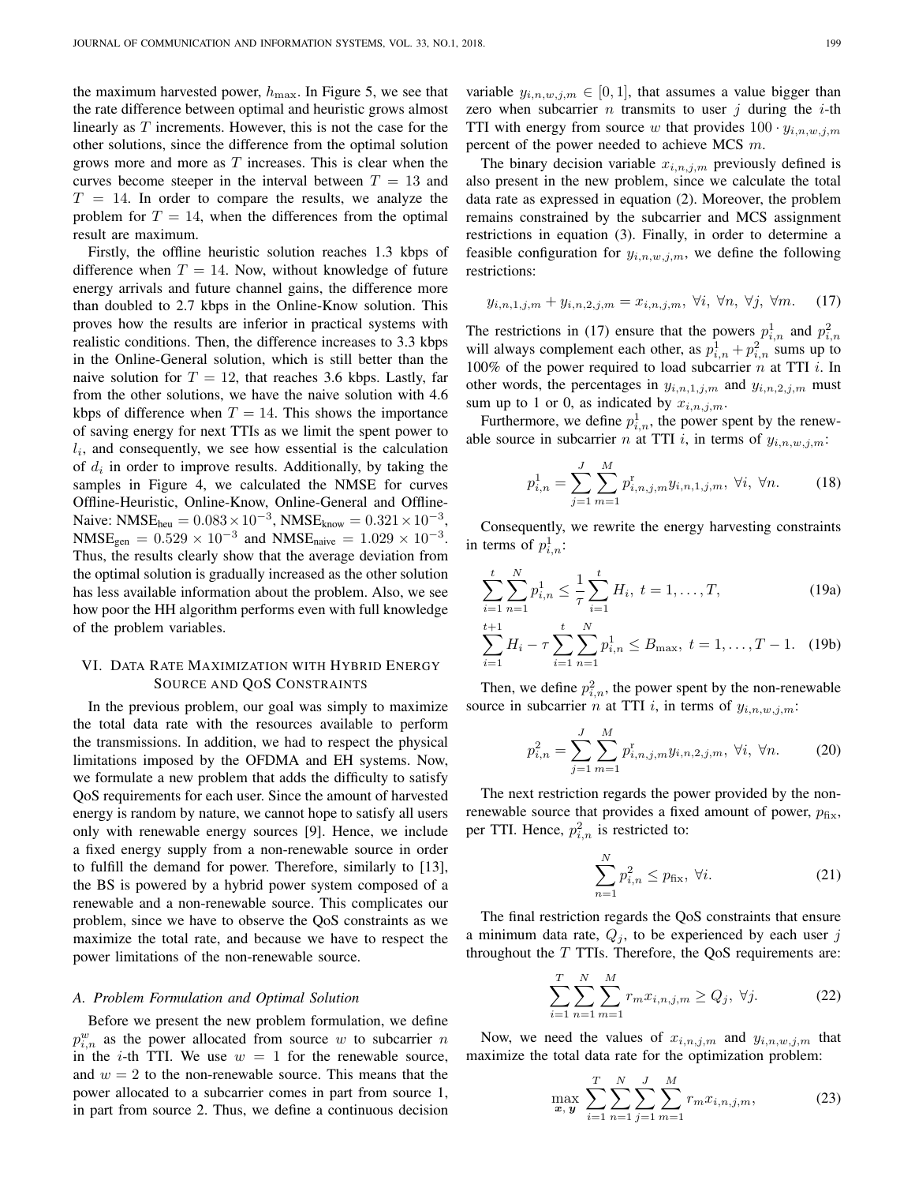the maximum harvested power,  $h_{\text{max}}$ . In Figure 5, we see that the rate difference between optimal and heuristic grows almost linearly as  $T$  increments. However, this is not the case for the other solutions, since the difference from the optimal solution grows more and more as  $T$  increases. This is clear when the curves become steeper in the interval between  $T = 13$  and  $T = 14$ . In order to compare the results, we analyze the problem for  $T = 14$ , when the differences from the optimal result are maximum.

Firstly, the offline heuristic solution reaches 1.3 kbps of difference when  $T = 14$ . Now, without knowledge of future energy arrivals and future channel gains, the difference more than doubled to 2.7 kbps in the Online-Know solution. This proves how the results are inferior in practical systems with realistic conditions. Then, the difference increases to 3.3 kbps in the Online-General solution, which is still better than the naive solution for  $T = 12$ , that reaches 3.6 kbps. Lastly, far from the other solutions, we have the naive solution with 4.6 kbps of difference when  $T = 14$ . This shows the importance of saving energy for next TTIs as we limit the spent power to  $l_i$ , and consequently, we see how essential is the calculation of  $d_i$  in order to improve results. Additionally, by taking the samples in Figure 4, we calculated the NMSE for curves Offline-Heuristic, Online-Know, Online-General and Offline-Naive: NMSE<sub>heu</sub> =  $0.083 \times 10^{-3}$ , NMSE<sub>know</sub> =  $0.321 \times 10^{-3}$ ,  $NMSE_{gen} = 0.529 \times 10^{-3}$  and  $NMSE_{naive} = 1.029 \times 10^{-3}$ . Thus, the results clearly show that the average deviation from the optimal solution is gradually increased as the other solution has less available information about the problem. Also, we see how poor the HH algorithm performs even with full knowledge of the problem variables.

# VI. DATA RATE MAXIMIZATION WITH HYBRID ENERGY SOURCE AND QOS CONSTRAINTS

In the previous problem, our goal was simply to maximize the total data rate with the resources available to perform the transmissions. In addition, we had to respect the physical limitations imposed by the OFDMA and EH systems. Now, we formulate a new problem that adds the difficulty to satisfy QoS requirements for each user. Since the amount of harvested energy is random by nature, we cannot hope to satisfy all users only with renewable energy sources [9]. Hence, we include a fixed energy supply from a non-renewable source in order to fulfill the demand for power. Therefore, similarly to [13], the BS is powered by a hybrid power system composed of a renewable and a non-renewable source. This complicates our problem, since we have to observe the QoS constraints as we maximize the total rate, and because we have to respect the power limitations of the non-renewable source.

#### *A. Problem Formulation and Optimal Solution*

Before we present the new problem formulation, we define  $p_{i,n}^w$  as the power allocated from source w to subcarrier n in the *i*-th TTI. We use  $w = 1$  for the renewable source, and  $w = 2$  to the non-renewable source. This means that the power allocated to a subcarrier comes in part from source 1, in part from source 2. Thus, we define a continuous decision variable  $y_{i,n,w,j,m} \in [0,1]$ , that assumes a value bigger than zero when subcarrier *n* transmits to user *j* during the *i*-th TTI with energy from source w that provides  $100 \cdot y_{i,n,w,j,m}$ percent of the power needed to achieve MCS m.

The binary decision variable  $x_{i,n,j,m}$  previously defined is also present in the new problem, since we calculate the total data rate as expressed in equation (2). Moreover, the problem remains constrained by the subcarrier and MCS assignment restrictions in equation (3). Finally, in order to determine a feasible configuration for  $y_{i,n,w,j,m}$ , we define the following restrictions:

$$
y_{i,n,1,j,m} + y_{i,n,2,j,m} = x_{i,n,j,m}, \ \forall i, \ \forall n, \ \forall j, \ \forall m. \tag{17}
$$

The restrictions in (17) ensure that the powers  $p_{i,n}^1$  and  $p_{i,n}^2$ will always complement each other, as  $p_{i,n}^1 + p_{i,n}^2$  sums up to 100% of the power required to load subcarrier  $n$  at TTI  $i$ . In other words, the percentages in  $y_{i,n,1,j,m}$  and  $y_{i,n,2,j,m}$  must sum up to 1 or 0, as indicated by  $x_{i,n,j,m}$ .

Furthermore, we define  $p_{i,n}^1$ , the power spent by the renewable source in subcarrier *n* at TTI *i*, in terms of  $y_{i,n,w,j,m}$ :

$$
p_{i,n}^1 = \sum_{j=1}^J \sum_{m=1}^M p_{i,n,j,m}^{\mathrm{r}} y_{i,n,1,j,m}, \ \forall i, \ \forall n. \tag{18}
$$

Consequently, we rewrite the energy harvesting constraints in terms of  $p_{i,n}^1$ :

$$
\sum_{i=1}^{t} \sum_{n=1}^{N} p_{i,n}^{1} \le \frac{1}{\tau} \sum_{i=1}^{t} H_{i}, \ t = 1, \dots, T,
$$
 (19a)

$$
\sum_{i=1}^{t+1} H_i - \tau \sum_{i=1}^t \sum_{n=1}^N p_{i,n}^1 \le B_{\text{max}}, \ t = 1, \dots, T-1. \tag{19b}
$$

Then, we define  $p_{i,n}^2$ , the power spent by the non-renewable source in subcarrier *n* at TTI *i*, in terms of  $y_{i,n,w,j,m}$ :

$$
p_{i,n}^2 = \sum_{j=1}^J \sum_{m=1}^M p_{i,n,j,m}^r y_{i,n,2,j,m}, \ \forall i, \ \forall n. \tag{20}
$$

The next restriction regards the power provided by the nonrenewable source that provides a fixed amount of power,  $p_{\text{fix}}$ , per TTI. Hence,  $p_{i,n}^2$  is restricted to:

$$
\sum_{n=1}^{N} p_{i,n}^2 \le p_{\text{fix}}, \ \forall i. \tag{21}
$$

The final restriction regards the QoS constraints that ensure a minimum data rate,  $Q_j$ , to be experienced by each user j throughout the  $T$  TTIs. Therefore, the QoS requirements are:

$$
\sum_{i=1}^{T} \sum_{n=1}^{N} \sum_{m=1}^{M} r_m x_{i,n,j,m} \ge Q_j, \ \forall j.
$$
 (22)

Now, we need the values of  $x_{i,n,j,m}$  and  $y_{i,n,w,j,m}$  that maximize the total data rate for the optimization problem:

$$
\max_{\boldsymbol{x}, \boldsymbol{y}} \sum_{i=1}^{T} \sum_{n=1}^{N} \sum_{j=1}^{J} \sum_{m=1}^{M} r_m x_{i, n, j, m}, \tag{23}
$$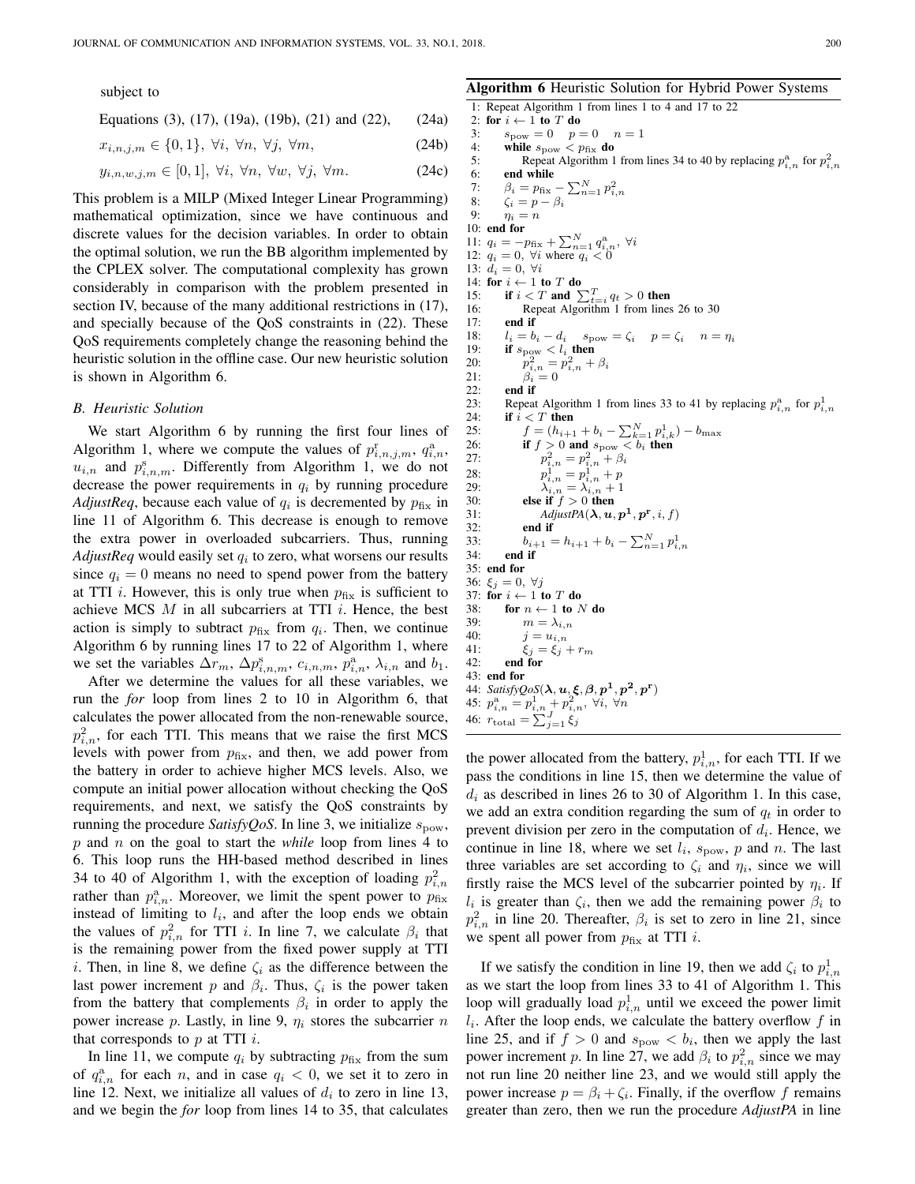subject to

Equations (3), (17), (19a), (19b), (21) and (22), (24a)

$$
x_{i,n,j,m} \in \{0,1\}, \ \forall i, \ \forall n, \ \forall j, \ \forall m,
$$
\n
$$
(24b)
$$

$$
y_{i,n,w,j,m} \in [0,1], \ \forall i, \ \forall n, \ \forall w, \ \forall j, \ \forall m. \tag{24c}
$$

This problem is a MILP (Mixed Integer Linear Programming) mathematical optimization, since we have continuous and discrete values for the decision variables. In order to obtain the optimal solution, we run the BB algorithm implemented by the CPLEX solver. The computational complexity has grown considerably in comparison with the problem presented in section IV, because of the many additional restrictions in (17), and specially because of the QoS constraints in (22). These QoS requirements completely change the reasoning behind the heuristic solution in the offline case. Our new heuristic solution is shown in Algorithm 6.

#### *B. Heuristic Solution*

We start Algorithm 6 by running the first four lines of Algorithm 1, where we compute the values of  $p_{i,n,j,m}^{\rm r}$ ,  $q_{i,n}^{\rm a}$ ,  $u_{i,n}$  and  $p_{i,n,m}^s$ . Differently from Algorithm 1, we do not decrease the power requirements in  $q_i$  by running procedure *AdjustReq*, because each value of  $q_i$  is decremented by  $p_{fix}$  in line 11 of Algorithm 6. This decrease is enough to remove the extra power in overloaded subcarriers. Thus, running  $Adjust$ Req would easily set  $q_i$  to zero, what worsens our results since  $q_i = 0$  means no need to spend power from the battery at TTI *i*. However, this is only true when  $p_{fix}$  is sufficient to achieve MCS  $M$  in all subcarriers at TTI  $i$ . Hence, the best action is simply to subtract  $p_{fix}$  from  $q_i$ . Then, we continue Algorithm 6 by running lines 17 to 22 of Algorithm 1, where we set the variables  $\Delta r_m$ ,  $\Delta p_{i,n,m}^{\rm s}$ ,  $c_{i,n,m}$ ,  $p_{i,n}^{\rm a}$ ,  $\lambda_{i,n}$  and  $b_1$ .

After we determine the values for all these variables, we run the *for* loop from lines 2 to 10 in Algorithm 6, that calculates the power allocated from the non-renewable source,  $p_{i,n}^2$ , for each TTI. This means that we raise the first MCS levels with power from  $p_{fix}$ , and then, we add power from the battery in order to achieve higher MCS levels. Also, we compute an initial power allocation without checking the QoS requirements, and next, we satisfy the QoS constraints by running the procedure *SatisfyQoS*. In line 3, we initialize  $s_{\text{pow}}$ , p and n on the goal to start the *while* loop from lines 4 to 6. This loop runs the HH-based method described in lines 34 to 40 of Algorithm 1, with the exception of loading  $p_{i,n}^2$ rather than  $p_{i,n}^{\text{a}}$ . Moreover, we limit the spent power to  $p_{\text{fix}}$ instead of limiting to  $l_i$ , and after the loop ends we obtain the values of  $p_{i,n}^2$  for TTI *i*. In line 7, we calculate  $\beta_i$  that is the remaining power from the fixed power supply at TTI i. Then, in line 8, we define  $\zeta_i$  as the difference between the last power increment p and  $\beta_i$ . Thus,  $\zeta_i$  is the power taken from the battery that complements  $\beta_i$  in order to apply the power increase p. Lastly, in line 9,  $\eta_i$  stores the subcarrier n that corresponds to  $p$  at TTI  $i$ .

In line 11, we compute  $q_i$  by subtracting  $p_{fix}$  from the sum of  $q_{i,n}^a$  for each n, and in case  $q_i < 0$ , we set it to zero in line 12. Next, we initialize all values of  $d_i$  to zero in line 13, and we begin the *for* loop from lines 14 to 35, that calculates

Algorithm 6 Heuristic Solution for Hybrid Power Systems 1: Repeat Algorithm 1 from lines 1 to 4 and 17 to 22 2: for  $i \leftarrow 1$  to T do 3:  $s_{\text{pow}} = 0$   $p = 0$   $n = 1$ 4: while  $s_{\text{pow}} < p_{\text{fix}}$  do<br>5: Repeat Algorithm 1 5: Repeat Algorithm 1 from lines 34 to 40 by replacing  $p_{i,n}^{\text{a}}$  for  $p_{i,n}^2$ 6: end while 7:  $\beta_i = p_{\text{fix}} - \sum_{n=1}^{N} p_{i,n}^2$ 8:  $\zeta_i = p - \beta_i$ <br>9:  $n_i = n$  $\eta_i = n$ 10: end for 11:  $q_i = -p_{fix} + \sum_{n=1}^{N} q_{i,n}^a$ , ∀i 12:  $q_i = 0$ ,  $\forall i$  where  $q_i < 0$ 13:  $d_i = 0, \forall i$ 14: for  $i \leftarrow 1$  to T do 15: if  $i < T$  and  $\sum_{t=i}^{T} q_t > 0$  then 16: Repeat Algorithm 1 from lines 26 to 30 17: **end if**<br>18:  $l_i = b$  $l_i = b_i - d_i$   $s_{\text{pow}} = \zeta_i$   $p = \zeta_i$   $n = \eta_i$ 19: if  $s_{\text{pow}} < l_i$  then 20: p  $n_{i,n}^2 = p_{i,n}^2 + \beta_i$ 21:  $\beta_i = 0$ <br>22: **end if** 22: end if<br>23: Repeat 23: Repeat Algorithm 1 from lines 33 to 41 by replacing  $p_{i,n}^{\text{a}}$  for  $p_{i,n}^{\text{1}}$ 24: if  $i < T$  then<br>25:  $f = (h_{i+1})$ 25:  $f = (h_{i+1} + b_i - \sum_{k=1}^{N} p_{i,k}^1) - b_{\text{max}}$ 26: if  $f > 0$  and  $s_{\text{pow}} < b_i$  then  $27:$  $\begin{array}{l} \mathbf{2} \\ i,n= p_{i,n}^{2} + \beta_{i} \\ \mathbf{1} \\ i,n= p_{i,n}^{1} + p \end{array}$ 28: 29:  $\lambda_{i,n} = \lambda_{i,n} + 1$ <br>30: **else if**  $f > 0$  **then** 30: **else if**  $f > 0$  **then**<br>31: *AdiustPA(* $\lambda$ *, u*, 31: *AdjustPA* $(\lambda, \mathbf{u}, \mathbf{p}^1, \mathbf{p}^r, i, f)$ 32: end if<br>33:  $h_{i+1} =$ 33:  $b_{i+1} = h_{i+1} + b_i - \sum_{n=1}^{N} p_{i,n}^1$ 34: end if 35: end for 36:  $\xi_j = 0, \forall j$ 37: for  $i \leftarrow 1$  to T do 38: for  $n \leftarrow 1$  to N do<br>39:  $m = \lambda_{i,n}$ 39:  $m = \lambda_{i,n}$ <br>40:  $i = u_{i,n}$ 40:  $j = u_{i,n}$ <br>
41:  $\xi_i = \xi_i$ 41:  $\xi_j = \xi_j + r_m$ <br>42: **end for** end for 43: end for 44:  $SatisfyQoS(\lambda, \mathbf{u}, \xi, \beta, p^1, p^2, p^{\mathbf{r}})$ 45:  $p_{i,n}^{\rm a}=p_{i,n}^{\rm 1}+p_{i,n}^{\rm 2}$ ,  $\forall i, \forall n$ 46:  $r_{\text{total}} = \sum_{j=1}^{J} \xi_j$ 

the power allocated from the battery,  $p_{i,n}^1$ , for each TTI. If we pass the conditions in line 15, then we determine the value of  $d_i$  as described in lines 26 to 30 of Algorithm 1. In this case, we add an extra condition regarding the sum of  $q_t$  in order to prevent division per zero in the computation of  $d_i$ . Hence, we continue in line 18, where we set  $l_i$ ,  $s_{\text{pow}}$ , p and n. The last three variables are set according to  $\zeta_i$  and  $\eta_i$ , since we will firstly raise the MCS level of the subcarrier pointed by  $\eta_i$ . If  $l_i$  is greater than  $\zeta_i$ , then we add the remaining power  $\beta_i$  to  $p_{i,n}^2$  in line 20. Thereafter,  $\beta_i$  is set to zero in line 21, since we spent all power from  $p_{fix}$  at TTI *i*.

If we satisfy the condition in line 19, then we add  $\zeta_i$  to  $p_{i,n}^1$ as we start the loop from lines 33 to 41 of Algorithm 1. This loop will gradually load  $p_{i,n}^1$  until we exceed the power limit  $l_i$ . After the loop ends, we calculate the battery overflow  $f$  in line 25, and if  $f > 0$  and  $s_{\text{pow}} < b_i$ , then we apply the last power increment p. In line 27, we add  $\beta_i$  to  $p_{i,n}^2$  since we may not run line 20 neither line 23, and we would still apply the power increase  $p = \beta_i + \zeta_i$ . Finally, if the overflow f remains greater than zero, then we run the procedure *AdjustPA* in line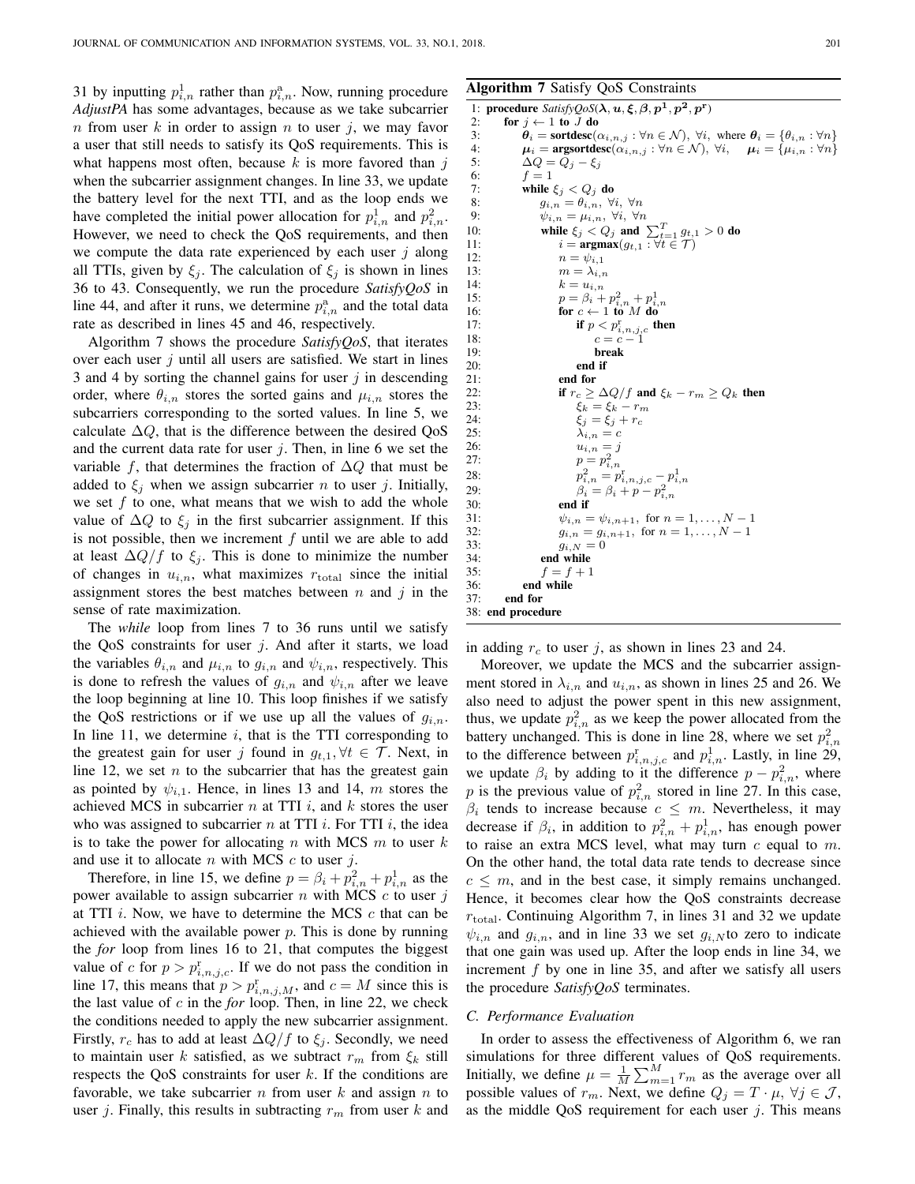31 by inputting  $p_{i,n}^1$  rather than  $p_{i,n}^a$ . Now, running procedure *AdjustPA* has some advantages, because as we take subcarrier n from user k in order to assign n to user j, we may favor a user that still needs to satisfy its QoS requirements. This is what happens most often, because  $k$  is more favored than  $j$ when the subcarrier assignment changes. In line 33, we update the battery level for the next TTI, and as the loop ends we have completed the initial power allocation for  $p_{i,n}^1$  and  $p_{i,n}^2$ . However, we need to check the QoS requirements, and then we compute the data rate experienced by each user  $j$  along all TTIs, given by  $\xi_i$ . The calculation of  $\xi_i$  is shown in lines 36 to 43. Consequently, we run the procedure *SatisfyQoS* in line 44, and after it runs, we determine  $p_{i,n}^{\text{a}}$  and the total data rate as described in lines 45 and 46, respectively.

Algorithm 7 shows the procedure *SatisfyQoS*, that iterates over each user  $j$  until all users are satisfied. We start in lines 3 and 4 by sorting the channel gains for user  $j$  in descending order, where  $\theta_{i,n}$  stores the sorted gains and  $\mu_{i,n}$  stores the subcarriers corresponding to the sorted values. In line 5, we calculate  $\Delta Q$ , that is the difference between the desired QoS and the current data rate for user  $j$ . Then, in line 6 we set the variable f, that determines the fraction of  $\Delta Q$  that must be added to  $\xi_j$  when we assign subcarrier *n* to user *j*. Initially, we set  $f$  to one, what means that we wish to add the whole value of  $\Delta Q$  to  $\xi_i$  in the first subcarrier assignment. If this is not possible, then we increment  $f$  until we are able to add at least  $\Delta Q/f$  to  $\xi_i$ . This is done to minimize the number of changes in  $u_{i,n}$ , what maximizes  $r_{total}$  since the initial assignment stores the best matches between  $n$  and  $j$  in the sense of rate maximization.

The *while* loop from lines 7 to 36 runs until we satisfy the QoS constraints for user  $j$ . And after it starts, we load the variables  $\theta_{i,n}$  and  $\mu_{i,n}$  to  $g_{i,n}$  and  $\psi_{i,n}$ , respectively. This is done to refresh the values of  $g_{i,n}$  and  $\psi_{i,n}$  after we leave the loop beginning at line 10. This loop finishes if we satisfy the QoS restrictions or if we use up all the values of  $g_{i,n}$ . In line 11, we determine  $i$ , that is the TTI corresponding to the greatest gain for user j found in  $g_{t,1}, \forall t \in \mathcal{T}$ . Next, in line 12, we set  $n$  to the subcarrier that has the greatest gain as pointed by  $\psi_{i,1}$ . Hence, in lines 13 and 14, m stores the achieved MCS in subcarrier  $n$  at TTI  $i$ , and  $k$  stores the user who was assigned to subcarrier n at TTI i. For TTI i, the idea is to take the power for allocating  $n$  with MCS  $m$  to user  $k$ and use it to allocate  $n$  with MCS  $c$  to user  $i$ .

Therefore, in line 15, we define  $p = \beta_i + p_{i,n}^2 + p_{i,n}^1$  as the power available to assign subcarrier  $n$  with MCS  $c$  to user  $j$ at TTI  $i$ . Now, we have to determine the MCS  $c$  that can be achieved with the available power  $p$ . This is done by running the *for* loop from lines 16 to 21, that computes the biggest value of c for  $p > p_{i,n,j,c}^{\rm r}$ . If we do not pass the condition in line 17, this means that  $p > p_{i,n,j,M}^r$ , and  $c = M$  since this is the last value of c in the *for* loop. Then, in line 22, we check the conditions needed to apply the new subcarrier assignment. Firstly,  $r_c$  has to add at least  $\Delta Q/f$  to  $\xi_j$ . Secondly, we need to maintain user k satisfied, as we subtract  $r_m$  from  $\xi_k$  still respects the QoS constraints for user  $k$ . If the conditions are favorable, we take subcarrier n from user  $k$  and assign  $n$  to user j. Finally, this results in subtracting  $r_m$  from user k and

# Algorithm 7 Satisfy QoS Constraints

```
1: procedure Satisfy QoS(\lambda, u, \xi, \beta, p^1, p^2, p^r)2: for j \leftarrow 1 to J do<br>3: \theta_i = \text{sortedesc}(c)3: \theta_i = \text{sortedesc}(\alpha_{i,n,j} : \forall n \in \mathcal{N}), \forall i, \text{ where } \theta_i = \{\theta_{i,n} : \forall n \}<br>4: \mu_i = \text{argsortdesc}(\alpha_{i,n,j} : \forall n \in \mathcal{N}), \forall i, \quad \mu_i = \{\mu_{i,n} : \forall n \}4: \mu_i = \text{argsortdesc}(\alpha_{i,n,j} : \forall n \in \mathcal{N}), \forall i, \quad \mu_i = {\mu_{i,n} : \forall n}<br>5: \Delta Q = Q_i - \xi_i5: \Delta Q = Q_j - \xi_j<br>6: f = 16: f = 1<br>7: while
 7: while \xi_j < Q_j do<br>8: a_{ij} = \theta_{ij} \forall i8: g_{i,n} = \theta_{i,n}, \forall i, \forall n<br>9: \psi_{i,n} = \mu_{i,n}, \forall i, \forall n9: \psi_{i,n} = \mu_{i,n}, \forall i, \forall n<br>10: while \xi_i < Q_i and
10: while \xi_j < Q_j and \sum_{t=1}^T g_{t,1} > 0 do
11: i = \mathop{\mathrm{argmax}}_{n \in \mathcal{V}_{i-1}} (g_{t,1} : \forall t \in \mathcal{T})<br>12: n = \psi_{i-1}12: n = \psi_{i,1}<br>13: m = \lambda_{i,n}13: m = \lambda_{i,n}<br>14: k = u_{i,n}k = u_{i,n}15:<br>
p = \beta_i + p_{i,n}^2 + p_{i,n}^1<br>
16:<br>
for c \leftarrow 1 to M do
17: if p < p_{i,n,j,c}^{\text{r}} then<br>
18: c = c - 119: break
20: end if<br>
21: end for
                             end for
22: if r_c \ge \Delta Q/f and \xi_k - r_m \ge Q_k then<br>23: \xi_k = \xi_k - r_m23: \xi_k = \xi_k - r_m<br>24: \xi_i = \xi_i + r_c24: \xi_j = \xi_j + r_c<br>25: \lambda_{j} = c25: \lambda_{i,n} = c<br>26: u_{i,n} = j26: u_{i,n} = j<br>
27 \cdot \cdot \cdot \cdot = n^227: p = p_{i,n}^228: p
                                     \hat{p}_{i,n}^2 = p_{i,n,j,c}^{\mathrm{r}} - p_{i,n}^{\mathrm{r}}29: \beta_i = \beta_i + p - p_{i,n}^230: end if
31: \psi_{i,n} = \psi_{i,n+1}, \text{ for } n = 1, ..., N-1<br>32. a_{i,n} = a_{i,n+1} \text{ for } n = 1, ..., N-132: g_{i,n} = g_{i,n+1}, for n = 1, ..., N-1<br>33: g_{i,N} = 033: g_{i,N} = 0<br>34. end while
                       end while
35: f = f + 136: end while
37: end for
38: end procedure
```
in adding  $r_c$  to user j, as shown in lines 23 and 24.

Moreover, we update the MCS and the subcarrier assignment stored in  $\lambda_{i,n}$  and  $u_{i,n}$ , as shown in lines 25 and 26. We also need to adjust the power spent in this new assignment, thus, we update  $p_{i,n}^2$  as we keep the power allocated from the battery unchanged. This is done in line 28, where we set  $p_{i,n}^2$ to the difference between  $p_{i,n,j,c}^{\text{r}}$  and  $p_{i,n}^{\text{1}}$ . Lastly, in line 29, we update  $\beta_i$  by adding to it the difference  $p - p_{i,n}^2$ , where p is the previous value of  $p_{i,n}^2$  stored in line 27. In this case,  $\beta_i$  tends to increase because  $c \leq m$ . Nevertheless, it may decrease if  $\beta_i$ , in addition to  $p_{i,n}^2 + p_{i,n}^1$ , has enough power to raise an extra MCS level, what may turn  $c$  equal to  $m$ . On the other hand, the total data rate tends to decrease since  $c \leq m$ , and in the best case, it simply remains unchanged. Hence, it becomes clear how the QoS constraints decrease  $r_{\text{total}}$ . Continuing Algorithm 7, in lines 31 and 32 we update  $\psi_{i,n}$  and  $g_{i,n}$ , and in line 33 we set  $g_{i,N}$  to zero to indicate that one gain was used up. After the loop ends in line 34, we increment  $f$  by one in line 35, and after we satisfy all users the procedure *SatisfyQoS* terminates.

#### *C. Performance Evaluation*

In order to assess the effectiveness of Algorithm 6, we ran simulations for three different values of QoS requirements. Initially, we define  $\mu = \frac{1}{M} \sum_{m=1}^{M} r_m$  as the average over all possible values of  $r_m$ . Next, we define  $Q_j = T \cdot \mu$ ,  $\forall j \in \mathcal{J}$ , as the middle QoS requirement for each user  $j$ . This means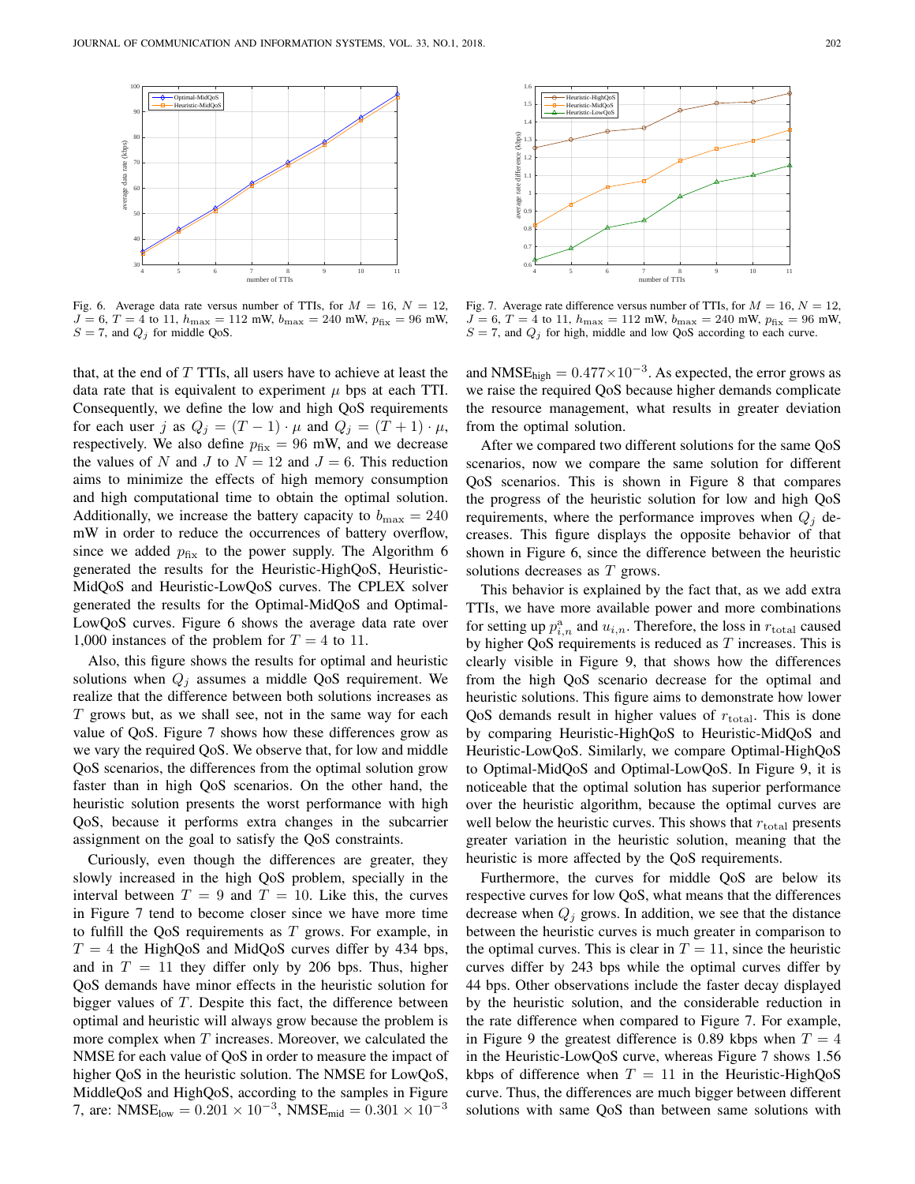

Fig. 6. Average data rate versus number of TTIs, for  $M = 16$ ,  $N = 12$ ,  $J = 6, T = 4$  to 11,  $h_{\text{max}} = 112$  mW,  $b_{\text{max}} = 240$  mW,  $p_{\text{fix}} = 96$  mW,  $S = 7$ , and  $Q_j$  for middle QoS.

that, at the end of  $T$  TTIs, all users have to achieve at least the data rate that is equivalent to experiment  $\mu$  bps at each TTI. Consequently, we define the low and high QoS requirements for each user j as  $Q_j = (T - 1) \cdot \mu$  and  $Q_j = (T + 1) \cdot \mu$ , respectively. We also define  $p_{fix} = 96$  mW, and we decrease the values of N and J to  $N = 12$  and  $J = 6$ . This reduction aims to minimize the effects of high memory consumption and high computational time to obtain the optimal solution. Additionally, we increase the battery capacity to  $b_{\text{max}} = 240$ mW in order to reduce the occurrences of battery overflow, since we added  $p_{fix}$  to the power supply. The Algorithm 6 generated the results for the Heuristic-HighQoS, Heuristic-MidQoS and Heuristic-LowQoS curves. The CPLEX solver generated the results for the Optimal-MidQoS and Optimal-LowQoS curves. Figure 6 shows the average data rate over 1,000 instances of the problem for  $T = 4$  to 11.

Also, this figure shows the results for optimal and heuristic solutions when  $Q_i$  assumes a middle QoS requirement. We realize that the difference between both solutions increases as  $T$  grows but, as we shall see, not in the same way for each value of QoS. Figure 7 shows how these differences grow as we vary the required QoS. We observe that, for low and middle QoS scenarios, the differences from the optimal solution grow faster than in high QoS scenarios. On the other hand, the heuristic solution presents the worst performance with high QoS, because it performs extra changes in the subcarrier assignment on the goal to satisfy the QoS constraints.

Curiously, even though the differences are greater, they slowly increased in the high QoS problem, specially in the interval between  $T = 9$  and  $T = 10$ . Like this, the curves in Figure 7 tend to become closer since we have more time to fulfill the QoS requirements as  $T$  grows. For example, in  $T = 4$  the HighQoS and MidQoS curves differ by 434 bps, and in  $T = 11$  they differ only by 206 bps. Thus, higher QoS demands have minor effects in the heuristic solution for bigger values of  $T$ . Despite this fact, the difference between optimal and heuristic will always grow because the problem is more complex when  $T$  increases. Moreover, we calculated the NMSE for each value of QoS in order to measure the impact of higher QoS in the heuristic solution. The NMSE for LowQoS, MiddleQoS and HighQoS, according to the samples in Figure 7, are: NMSE<sub>low</sub> =  $0.201 \times 10^{-3}$ , NMSE<sub>mid</sub> =  $0.301 \times 10^{-3}$ 



Fig. 7. Average rate difference versus number of TTIs, for  $M = 16$ ,  $N = 12$ ,  $J = 6, T = 4$  to 11,  $h_{\text{max}} = 112 \text{ mW}$ ,  $b_{\text{max}} = 240 \text{ mW}$ ,  $p_{\text{fix}} = 96 \text{ mW}$ ,  $S = 7$ , and  $Q_j$  for high, middle and low QoS according to each curve.

and NMSE<sub>high</sub> =  $0.477 \times 10^{-3}$ . As expected, the error grows as we raise the required QoS because higher demands complicate the resource management, what results in greater deviation from the optimal solution.

After we compared two different solutions for the same QoS scenarios, now we compare the same solution for different QoS scenarios. This is shown in Figure 8 that compares the progress of the heuristic solution for low and high QoS requirements, where the performance improves when  $Q_i$  decreases. This figure displays the opposite behavior of that shown in Figure 6, since the difference between the heuristic solutions decreases as T grows.

This behavior is explained by the fact that, as we add extra TTIs, we have more available power and more combinations for setting up  $p_{i,n}^{\text{a}}$  and  $u_{i,n}$ . Therefore, the loss in  $r_{\text{total}}$  caused by higher QoS requirements is reduced as  $T$  increases. This is clearly visible in Figure 9, that shows how the differences from the high QoS scenario decrease for the optimal and heuristic solutions. This figure aims to demonstrate how lower QoS demands result in higher values of  $r_{\text{total}}$ . This is done by comparing Heuristic-HighQoS to Heuristic-MidQoS and Heuristic-LowQoS. Similarly, we compare Optimal-HighQoS to Optimal-MidQoS and Optimal-LowQoS. In Figure 9, it is noticeable that the optimal solution has superior performance over the heuristic algorithm, because the optimal curves are well below the heuristic curves. This shows that  $r_{total}$  presents greater variation in the heuristic solution, meaning that the heuristic is more affected by the QoS requirements.

Furthermore, the curves for middle QoS are below its respective curves for low QoS, what means that the differences decrease when  $Q_i$  grows. In addition, we see that the distance between the heuristic curves is much greater in comparison to the optimal curves. This is clear in  $T = 11$ , since the heuristic curves differ by 243 bps while the optimal curves differ by 44 bps. Other observations include the faster decay displayed by the heuristic solution, and the considerable reduction in the rate difference when compared to Figure 7. For example, in Figure 9 the greatest difference is 0.89 kbps when  $T = 4$ in the Heuristic-LowQoS curve, whereas Figure 7 shows 1.56 kbps of difference when  $T = 11$  in the Heuristic-HighQoS curve. Thus, the differences are much bigger between different solutions with same QoS than between same solutions with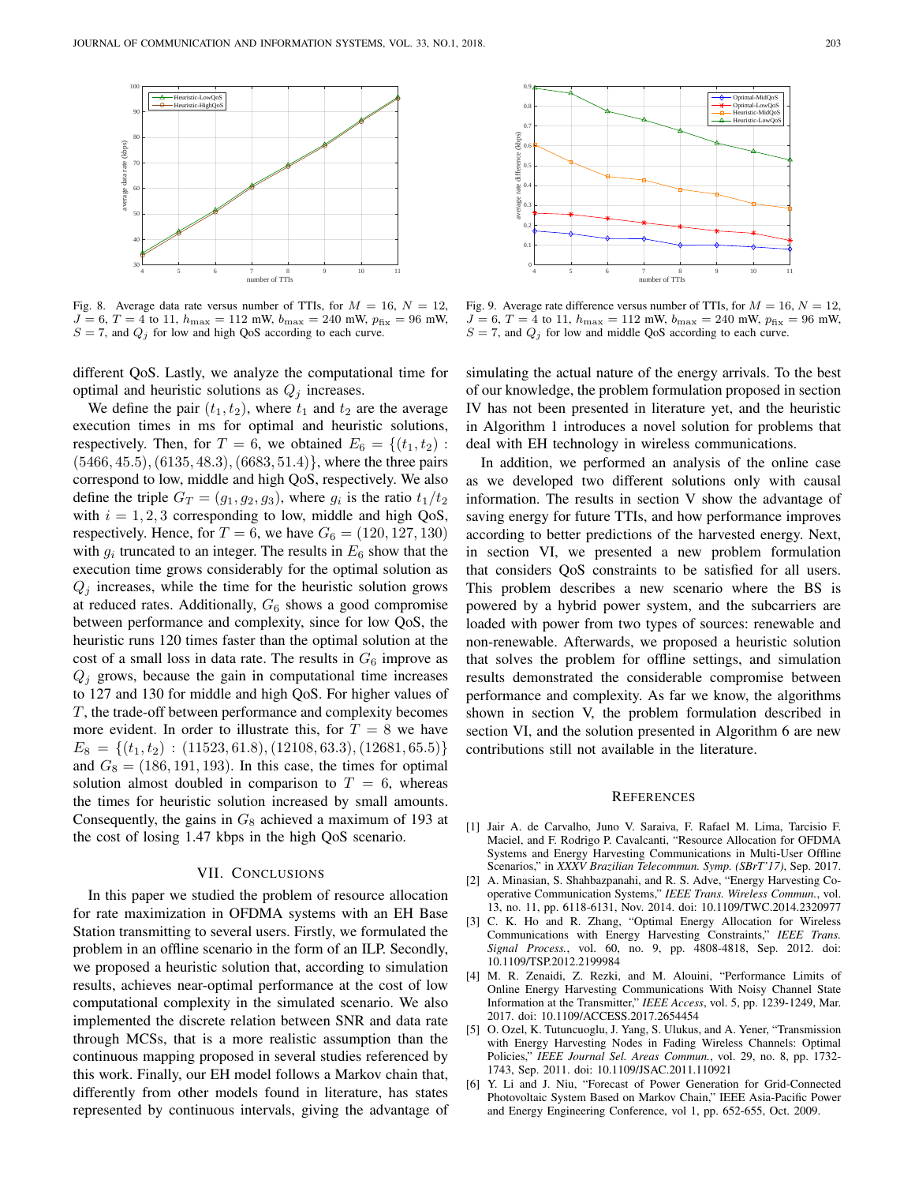

Fig. 8. Average data rate versus number of TTIs, for  $M = 16$ ,  $N = 12$ ,  $J = 6, T = 4$  to 11,  $h_{\text{max}} = 112$  mW,  $b_{\text{max}} = 240$  mW,  $p_{\text{fix}} = 96$  mW,  $S = 7$ , and  $Q_j$  for low and high QoS according to each curve.

different QoS. Lastly, we analyze the computational time for optimal and heuristic solutions as  $Q_j$  increases.

We define the pair  $(t_1, t_2)$ , where  $t_1$  and  $t_2$  are the average execution times in ms for optimal and heuristic solutions, respectively. Then, for  $T = 6$ , we obtained  $E_6 = \{(t_1, t_2)$ :  $(5466, 45.5), (6135, 48.3), (6683, 51.4)$ , where the three pairs correspond to low, middle and high QoS, respectively. We also define the triple  $G_T = (g_1, g_2, g_3)$ , where  $g_i$  is the ratio  $t_1/t_2$ with  $i = 1, 2, 3$  corresponding to low, middle and high QoS, respectively. Hence, for  $T = 6$ , we have  $G_6 = (120, 127, 130)$ with  $g_i$  truncated to an integer. The results in  $E_6$  show that the execution time grows considerably for the optimal solution as  $Q_i$  increases, while the time for the heuristic solution grows at reduced rates. Additionally,  $G_6$  shows a good compromise between performance and complexity, since for low QoS, the heuristic runs 120 times faster than the optimal solution at the cost of a small loss in data rate. The results in  $G_6$  improve as  $Q_i$  grows, because the gain in computational time increases to 127 and 130 for middle and high QoS. For higher values of T, the trade-off between performance and complexity becomes more evident. In order to illustrate this, for  $T = 8$  we have  $E_8 = \{(t_1, t_2) : (11523, 61.8), (12108, 63.3), (12681, 65.5)\}$ and  $G_8 = (186, 191, 193)$ . In this case, the times for optimal solution almost doubled in comparison to  $T = 6$ , whereas the times for heuristic solution increased by small amounts. Consequently, the gains in  $G_8$  achieved a maximum of 193 at the cost of losing 1.47 kbps in the high QoS scenario.

## VII. CONCLUSIONS

In this paper we studied the problem of resource allocation for rate maximization in OFDMA systems with an EH Base Station transmitting to several users. Firstly, we formulated the problem in an offline scenario in the form of an ILP. Secondly, we proposed a heuristic solution that, according to simulation results, achieves near-optimal performance at the cost of low computational complexity in the simulated scenario. We also implemented the discrete relation between SNR and data rate through MCSs, that is a more realistic assumption than the continuous mapping proposed in several studies referenced by this work. Finally, our EH model follows a Markov chain that, differently from other models found in literature, has states represented by continuous intervals, giving the advantage of



Fig. 9. Average rate difference versus number of TTIs, for  $M = 16$ ,  $N = 12$ ,  $J = 6, T = 4$  to 11,  $h_{\text{max}} = 112$  mW,  $b_{\text{max}} = 240$  mW,  $p_{\text{fix}} = 96$  mW,  $S = 7$ , and  $Q_i$  for low and middle QoS according to each curve.

simulating the actual nature of the energy arrivals. To the best of our knowledge, the problem formulation proposed in section IV has not been presented in literature yet, and the heuristic in Algorithm 1 introduces a novel solution for problems that deal with EH technology in wireless communications.

In addition, we performed an analysis of the online case as we developed two different solutions only with causal information. The results in section V show the advantage of saving energy for future TTIs, and how performance improves according to better predictions of the harvested energy. Next, in section VI, we presented a new problem formulation that considers QoS constraints to be satisfied for all users. This problem describes a new scenario where the BS is powered by a hybrid power system, and the subcarriers are loaded with power from two types of sources: renewable and non-renewable. Afterwards, we proposed a heuristic solution that solves the problem for offline settings, and simulation results demonstrated the considerable compromise between performance and complexity. As far we know, the algorithms shown in section V, the problem formulation described in section VI, and the solution presented in Algorithm 6 are new contributions still not available in the literature.

#### **REFERENCES**

- [1] Jair A. de Carvalho, Juno V. Saraiva, F. Rafael M. Lima, Tarcisio F. Maciel, and F. Rodrigo P. Cavalcanti, "Resource Allocation for OFDMA Systems and Energy Harvesting Communications in Multi-User Offline Scenarios," in *XXXV Brazilian Telecommun. Symp. (SBrT'17)*, Sep. 2017.
- [2] A. Minasian, S. Shahbazpanahi, and R. S. Adve, "Energy Harvesting Cooperative Communication Systems," *IEEE Trans. Wireless Commun.*, vol. 13, no. 11, pp. 6118-6131, Nov. 2014. doi: 10.1109/TWC.2014.2320977
- [3] C. K. Ho and R. Zhang, "Optimal Energy Allocation for Wireless Communications with Energy Harvesting Constraints," *IEEE Trans. Signal Process.*, vol. 60, no. 9, pp. 4808-4818, Sep. 2012. doi: 10.1109/TSP.2012.2199984
- [4] M. R. Zenaidi, Z. Rezki, and M. Alouini, "Performance Limits of Online Energy Harvesting Communications With Noisy Channel State Information at the Transmitter," *IEEE Access*, vol. 5, pp. 1239-1249, Mar. 2017. doi: 10.1109/ACCESS.2017.2654454
- [5] O. Ozel, K. Tutuncuoglu, J. Yang, S. Ulukus, and A. Yener, "Transmission with Energy Harvesting Nodes in Fading Wireless Channels: Optimal Policies," *IEEE Journal Sel. Areas Commun.*, vol. 29, no. 8, pp. 1732- 1743, Sep. 2011. doi: 10.1109/JSAC.2011.110921
- [6] Y. Li and J. Niu, "Forecast of Power Generation for Grid-Connected Photovoltaic System Based on Markov Chain," IEEE Asia-Pacific Power and Energy Engineering Conference, vol 1, pp. 652-655, Oct. 2009.